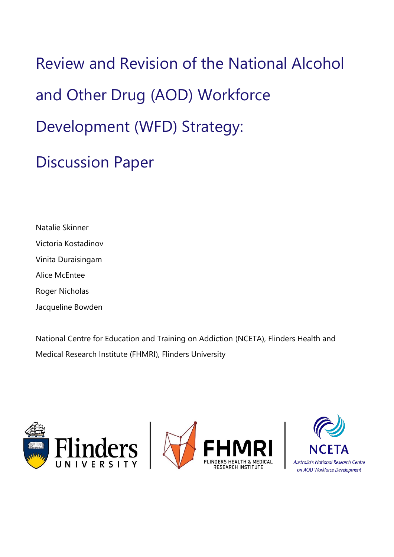Review and Revision of the National Alcohol and Other Drug (AOD) Workforce Development (WFD) Strategy: Discussion Paper

Natalie Skinner Victoria Kostadinov Vinita Duraisingam Alice McEntee Roger Nicholas

Jacqueline Bowden

National Centre for Education and Training on Addiction (NCETA), Flinders Health and Medical Research Institute (FHMRI), Flinders University





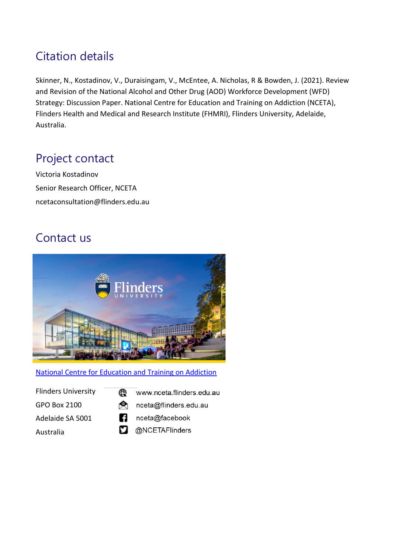# Citation details

Skinner, N., Kostadinov, V., Duraisingam, V., McEntee, A. Nicholas, R & Bowden, J. (2021). Review and Revision of the National Alcohol and Other Drug (AOD) Workforce Development (WFD) Strategy: Discussion Paper. National Centre for Education and Training on Addiction (NCETA), Flinders Health and Medical and Research Institute (FHMRI), Flinders University, Adelaide, Australia.

# Project contact

Victoria Kostadinov Senior Research Officer, NCETA ncetaconsultation@flinders.edu.au

## Contact us



#### [National Centre for Education and Training on Addiction](http://nceta.flinders.edu.au/)

- Flinders University GPO Box 2100 Adelaide SA 5001 Australia
- ∉ www.nceta.flinders.edu.au
- ُ nceta@flinders.edu.au
- A nceta@facebook
- **D** @NCETAFlinders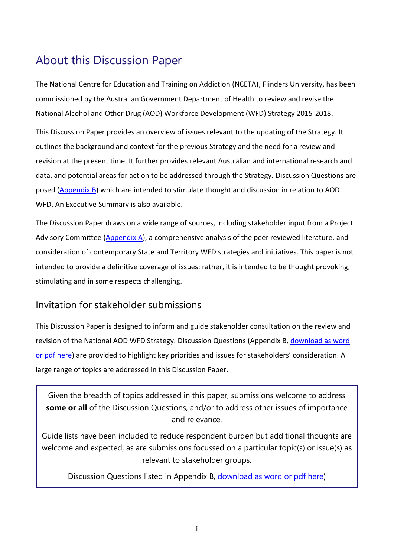# <span id="page-2-0"></span>About this Discussion Paper

The National Centre for Education and Training on Addiction (NCETA), Flinders University, has been commissioned by the Australian Government Department of Health to review and revise the National Alcohol and Other Drug (AOD) Workforce Development (WFD) Strategy 2015-2018.

This Discussion Paper provides an overview of issues relevant to the updating of the Strategy. It outlines the background and context for the previous Strategy and the need for a review and revision at the present time. It further provides relevant Australian and international research and data, and potential areas for action to be addressed through the Strategy. Discussion Questions are posed [\(Appendix B\)](#page-49-0) which are intended to stimulate thought and discussion in relation to AOD WFD. An Executive Summary is also available.

The Discussion Paper draws on a wide range of sources, including stakeholder input from a Project Advisory Committee [\(Appendix A\)](#page-47-0), a comprehensive analysis of the peer reviewed literature, and consideration of contemporary State and Territory WFD strategies and initiatives. This paper is not intended to provide a definitive coverage of issues; rather, it is intended to be thought provoking, stimulating and in some respects challenging.

## <span id="page-2-1"></span>Invitation for stakeholder submissions

This Discussion Paper is designed to inform and guide stakeholder consultation on the review and revision of the National AOD WFD Strategy. Discussion Questions (Appendix B[, download as word](https://nceta.flinders.edu.au/stakeholder-consultations/national-aod-wfd-strategy-stakeholder-consultation)  [or pdf here\)](https://nceta.flinders.edu.au/stakeholder-consultations/national-aod-wfd-strategy-stakeholder-consultation) are provided to highlight key priorities and issues for stakeholders' consideration. A large range of topics are addressed in this Discussion Paper.

Given the breadth of topics addressed in this paper, submissions welcome to address **some or all** of the Discussion Questions, and/or to address other issues of importance and relevance.

Guide lists have been included to reduce respondent burden but additional thoughts are welcome and expected, as are submissions focussed on a particular topic(s) or issue(s) as relevant to stakeholder groups.

Discussion Questions listed in Appendix B, [download as word or pdf here](https://nceta.flinders.edu.au/stakeholder-consultations/national-aod-wfd-strategy-stakeholder-consultation))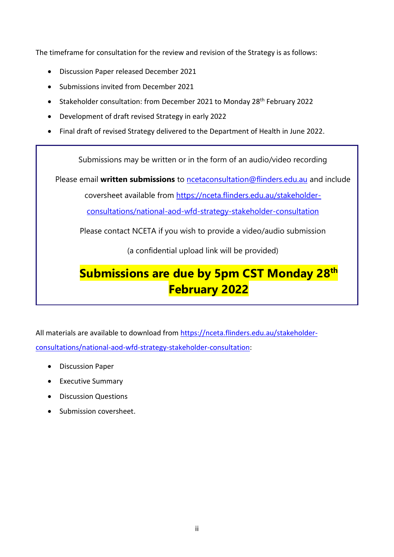The timeframe for consultation for the review and revision of the Strategy is as follows:

- Discussion Paper released December 2021
- Submissions invited from December 2021
- Stakeholder consultation: from December 2021 to Monday 28<sup>th</sup> February 2022
- Development of draft revised Strategy in early 2022
- Final draft of revised Strategy delivered to the Department of Health in June 2022.

Submissions may be written or in the form of an audio/video recording

Please email **written submissions** to [ncetaconsultation@flinders.edu.au](mailto:ncetaconsultation@flinders.edu.au) and include

coversheet available from [https://nceta.flinders.edu.au/stakeholder-](https://nceta.flinders.edu.au/stakeholder-consultations/national-aod-wfd-strategy-stakeholder-consultation)

[consultations/national-aod-wfd-strategy-stakeholder-consultation](https://nceta.flinders.edu.au/stakeholder-consultations/national-aod-wfd-strategy-stakeholder-consultation)

Please contact NCETA if you wish to provide a video/audio submission

(a confidential upload link will be provided)

# **Submissions are due by 5pm CST Monday 28th February 2022**

All materials are available to download from [https://nceta.flinders.edu.au/stakeholder](https://nceta.flinders.edu.au/stakeholder-consultations/national-aod-wfd-strategy-stakeholder-consultation)[consultations/national-aod-wfd-strategy-stakeholder-consultation:](https://nceta.flinders.edu.au/stakeholder-consultations/national-aod-wfd-strategy-stakeholder-consultation)

- Discussion Paper
- Executive Summary
- Discussion Questions
- Submission coversheet.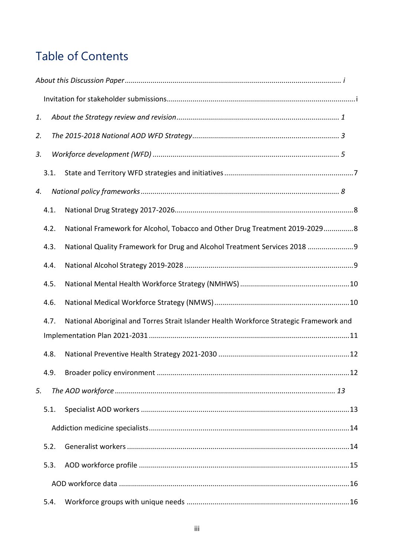# Table of Contents

| 1. |      |                                                                                         |
|----|------|-----------------------------------------------------------------------------------------|
| 2. |      |                                                                                         |
| 3. |      |                                                                                         |
|    | 3.1. |                                                                                         |
| 4. |      |                                                                                         |
|    | 4.1. |                                                                                         |
|    | 4.2. | National Framework for Alcohol, Tobacco and Other Drug Treatment 2019-20298             |
|    | 4.3. | National Quality Framework for Drug and Alcohol Treatment Services 2018 9               |
|    | 4.4. |                                                                                         |
|    | 4.5. |                                                                                         |
|    | 4.6. |                                                                                         |
|    | 4.7. | National Aboriginal and Torres Strait Islander Health Workforce Strategic Framework and |
|    |      |                                                                                         |
|    | 4.8. |                                                                                         |
|    |      |                                                                                         |
| 5. |      |                                                                                         |
|    | 5.1. |                                                                                         |
|    |      |                                                                                         |
|    | 5.2. |                                                                                         |
|    | 5.3. |                                                                                         |
|    |      |                                                                                         |
|    | 5.4. |                                                                                         |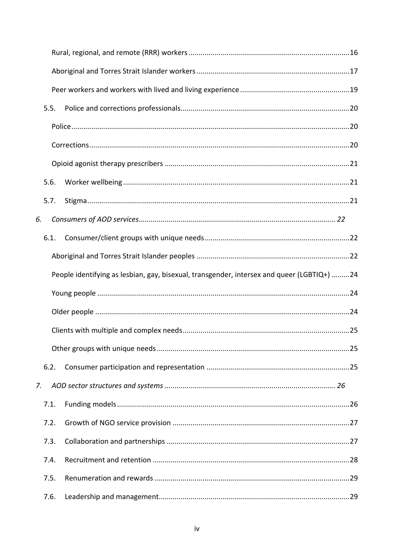|    | 5.5. |                                                                                            |  |
|----|------|--------------------------------------------------------------------------------------------|--|
|    |      |                                                                                            |  |
|    |      |                                                                                            |  |
|    |      |                                                                                            |  |
|    | 5.6. |                                                                                            |  |
|    | 5.7. |                                                                                            |  |
| 6. |      |                                                                                            |  |
|    | 6.1. |                                                                                            |  |
|    |      |                                                                                            |  |
|    |      | People identifying as lesbian, gay, bisexual, transgender, intersex and queer (LGBTIQ+) 24 |  |
|    |      |                                                                                            |  |
|    |      |                                                                                            |  |
|    |      |                                                                                            |  |
|    |      |                                                                                            |  |
|    | 6.2. |                                                                                            |  |
| 7. |      |                                                                                            |  |
|    | 7.1. |                                                                                            |  |
|    | 7.2. |                                                                                            |  |
|    | 7.3. |                                                                                            |  |
|    | 7.4. |                                                                                            |  |
|    | 7.5. |                                                                                            |  |
|    | 7.6. |                                                                                            |  |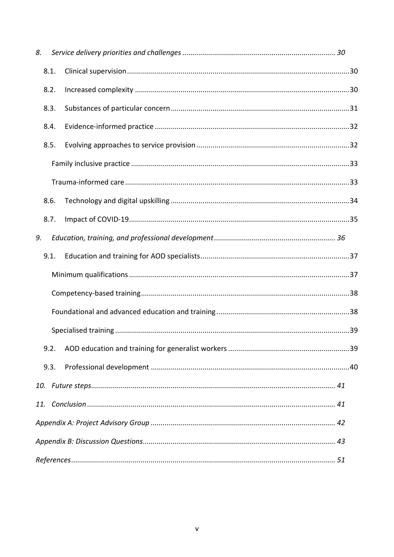| 8. |      |  |  |  |
|----|------|--|--|--|
|    | 8.1. |  |  |  |
|    | 8.2. |  |  |  |
|    | 8.3. |  |  |  |
|    | 8.4. |  |  |  |
|    | 8.5. |  |  |  |
|    |      |  |  |  |
|    |      |  |  |  |
|    | 8.6. |  |  |  |
|    | 8.7. |  |  |  |
| 9. |      |  |  |  |
|    | 9.1. |  |  |  |
|    |      |  |  |  |
|    |      |  |  |  |
|    |      |  |  |  |
|    |      |  |  |  |
|    | 9.2. |  |  |  |
|    | 9.3. |  |  |  |
|    |      |  |  |  |
|    |      |  |  |  |
|    |      |  |  |  |
|    |      |  |  |  |
|    |      |  |  |  |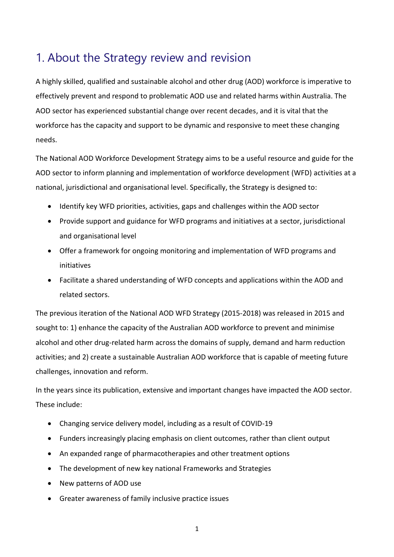## <span id="page-7-0"></span>1. About the Strategy review and revision

A highly skilled, qualified and sustainable alcohol and other drug (AOD) workforce is imperative to effectively prevent and respond to problematic AOD use and related harms within Australia. The AOD sector has experienced substantial change over recent decades, and it is vital that the workforce has the capacity and support to be dynamic and responsive to meet these changing needs.

The National AOD Workforce Development Strategy aims to be a useful resource and guide for the AOD sector to inform planning and implementation of workforce development (WFD) activities at a national, jurisdictional and organisational level. Specifically, the Strategy is designed to:

- Identify key WFD priorities, activities, gaps and challenges within the AOD sector
- Provide support and guidance for WFD programs and initiatives at a sector, jurisdictional and organisational level
- Offer a framework for ongoing monitoring and implementation of WFD programs and initiatives
- Facilitate a shared understanding of WFD concepts and applications within the AOD and related sectors.

The previous iteration of the National AOD WFD Strategy (2015-2018) was released in 2015 and sought to: 1) enhance the capacity of the Australian AOD workforce to prevent and minimise alcohol and other drug-related harm across the domains of supply, demand and harm reduction activities; and 2) create a sustainable Australian AOD workforce that is capable of meeting future challenges, innovation and reform.

In the years since its publication, extensive and important changes have impacted the AOD sector. These include:

- Changing service delivery model, including as a result of COVID-19
- Funders increasingly placing emphasis on client outcomes, rather than client output
- An expanded range of pharmacotherapies and other treatment options
- The development of new key national Frameworks and Strategies
- New patterns of AOD use
- Greater awareness of family inclusive practice issues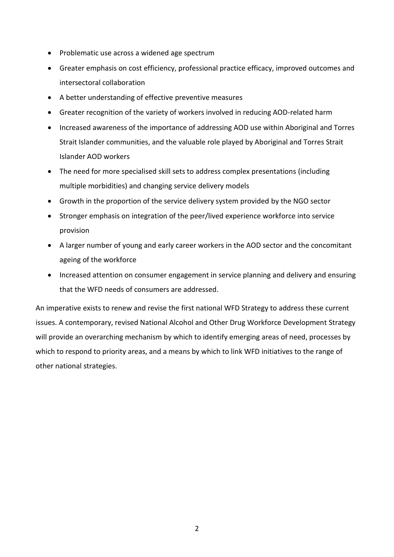- Problematic use across a widened age spectrum
- Greater emphasis on cost efficiency, professional practice efficacy, improved outcomes and intersectoral collaboration
- A better understanding of effective preventive measures
- Greater recognition of the variety of workers involved in reducing AOD-related harm
- Increased awareness of the importance of addressing AOD use within Aboriginal and Torres Strait Islander communities, and the valuable role played by Aboriginal and Torres Strait Islander AOD workers
- The need for more specialised skill sets to address complex presentations (including multiple morbidities) and changing service delivery models
- Growth in the proportion of the service delivery system provided by the NGO sector
- Stronger emphasis on integration of the peer/lived experience workforce into service provision
- A larger number of young and early career workers in the AOD sector and the concomitant ageing of the workforce
- Increased attention on consumer engagement in service planning and delivery and ensuring that the WFD needs of consumers are addressed.

An imperative exists to renew and revise the first national WFD Strategy to address these current issues. A contemporary, revised National Alcohol and Other Drug Workforce Development Strategy will provide an overarching mechanism by which to identify emerging areas of need, processes by which to respond to priority areas, and a means by which to link WFD initiatives to the range of other national strategies.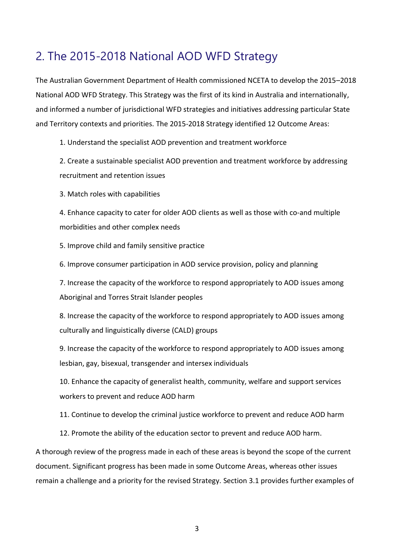## <span id="page-9-0"></span>2. The 2015-2018 National AOD WFD Strategy

The Australian Government Department of Health commissioned NCETA to develop the 2015–2018 National AOD WFD Strategy. This Strategy was the first of its kind in Australia and internationally, and informed a number of jurisdictional WFD strategies and initiatives addressing particular State and Territory contexts and priorities. The 2015-2018 Strategy identified 12 Outcome Areas:

1. Understand the specialist AOD prevention and treatment workforce

2. Create a sustainable specialist AOD prevention and treatment workforce by addressing recruitment and retention issues

3. Match roles with capabilities

4. Enhance capacity to cater for older AOD clients as well as those with co-and multiple morbidities and other complex needs

5. Improve child and family sensitive practice

6. Improve consumer participation in AOD service provision, policy and planning

7. Increase the capacity of the workforce to respond appropriately to AOD issues among Aboriginal and Torres Strait Islander peoples

8. Increase the capacity of the workforce to respond appropriately to AOD issues among culturally and linguistically diverse (CALD) groups

9. Increase the capacity of the workforce to respond appropriately to AOD issues among lesbian, gay, bisexual, transgender and intersex individuals

10. Enhance the capacity of generalist health, community, welfare and support services workers to prevent and reduce AOD harm

11. Continue to develop the criminal justice workforce to prevent and reduce AOD harm

12. Promote the ability of the education sector to prevent and reduce AOD harm.

A thorough review of the progress made in each of these areas is beyond the scope of the current document. Significant progress has been made in some Outcome Areas, whereas other issues remain a challenge and a priority for the revised Strategy. Section 3.1 provides further examples of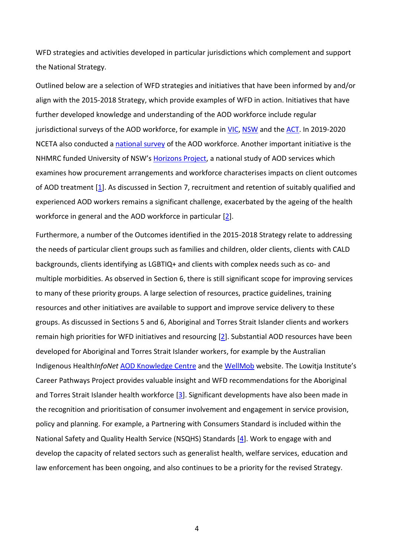WFD strategies and activities developed in particular jurisdictions which complement and support the National Strategy.

Outlined below are a selection of WFD strategies and initiatives that have been informed by and/or align with the 2015-2018 Strategy, which provide examples of WFD in action. Initiatives that have further developed knowledge and understanding of the AOD workforce include regular jurisdictional surveys of the AOD workforce, for example in [VIC,](https://www2.health.vic.gov.au/alcohol-and-drugs/alcohol-and-other-drug-workforce/aod-data-workforce-planning) [NSW](https://learningforpurpose.org/research/aod-workforce-study/) and th[e ACT.](http://www.atoda.org.au/projects/workforce-profile/) In 2019-2020 NCETA also conducted a [national survey](https://nceta.flinders.edu.au/workforce/alcohol-other-drugs-national-workforce-survey) of the AOD workforce. Another important initiative is the NHMRC funded University of NSW's [Horizons Project,](https://www.unsw.edu.au/arts-design-architecture/our-research/research-centres-institutes/social-policy-research-centre/our-projects/horizons-project-empirical-analysis-alcohol-and-drug-treatment-funding-purchasing-and-workforce-mechanisms) a national study of AOD services which examines how procurement arrangements and workforce characterises impacts on client outcomes of AOD treatment [\[1\]](#page-57-1). As discussed in Section 7, recruitment and retention of suitably qualified and experienced AOD workers remains a significant challenge, exacerbated by the ageing of the health workforce in general and the AOD workforce in particular [\[2\]](#page-57-2).

Furthermore, a number of the Outcomes identified in the 2015-2018 Strategy relate to addressing the needs of particular client groups such as families and children, older clients, clients with CALD backgrounds, clients identifying as LGBTIQ+ and clients with complex needs such as co- and multiple morbidities. As observed in Section 6, there is still significant scope for improving services to many of these priority groups. A large selection of resources, practice guidelines, training resources and other initiatives are available to support and improve service delivery to these groups. As discussed in Sections 5 and 6, Aboriginal and Torres Strait Islander clients and workers remain high priorities for WFD initiatives and resourcing [\[2\]](#page-57-2). Substantial AOD resources have been developed for Aboriginal and Torres Strait Islander workers, for example by the Australian Indigenous Health*InfoNet* [AOD Knowledge Centre](https://aodknowledgecentre.ecu.edu.au/) and the [WellMob](https://wellmob.org.au/) website. The Lowitja Institute's Career Pathways Project provides valuable insight and WFD recommendations for the Aboriginal and Torres Strait Islander health workforce [\[3\]](#page-57-3). Significant developments have also been made in the recognition and prioritisation of consumer involvement and engagement in service provision, policy and planning. For example, a Partnering with Consumers Standard is included within the National Safety and Quality Health Service (NSQHS) Standards [\[4\]](#page-57-4). Work to engage with and develop the capacity of related sectors such as generalist health, welfare services, education and law enforcement has been ongoing, and also continues to be a priority for the revised Strategy.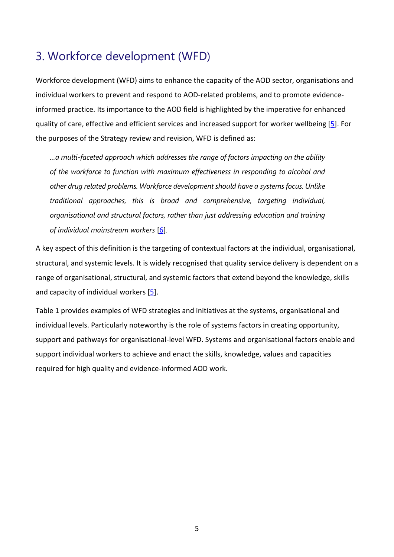## <span id="page-11-0"></span>3. Workforce development (WFD)

Workforce development (WFD) aims to enhance the capacity of the AOD sector, organisations and individual workers to prevent and respond to AOD-related problems, and to promote evidenceinformed practice. Its importance to the AOD field is highlighted by the imperative for enhanced quality of care, effective and efficient services and increased support for worker wellbeing [\[5\]](#page-57-5). For the purposes of the Strategy review and revision, WFD is defined as:

*…a multi-faceted approach which addresses the range of factors impacting on the ability of the workforce to function with maximum effectiveness in responding to alcohol and other drug related problems. Workforce development should have a systems focus. Unlike traditional approaches, this is broad and comprehensive, targeting individual, organisational and structural factors, rather than just addressing education and training of individual mainstream workers* [\[6\]](#page-57-6)*.* 

A key aspect of this definition is the targeting of contextual factors at the individual, organisational, structural, and systemic levels. It is widely recognised that quality service delivery is dependent on a range of organisational, structural, and systemic factors that extend beyond the knowledge, skills and capacity of individual workers [\[5\]](#page-57-5).

Table 1 provides examples of WFD strategies and initiatives at the systems, organisational and individual levels. Particularly noteworthy is the role of systems factors in creating opportunity, support and pathways for organisational-level WFD. Systems and organisational factors enable and support individual workers to achieve and enact the skills, knowledge, values and capacities required for high quality and evidence-informed AOD work.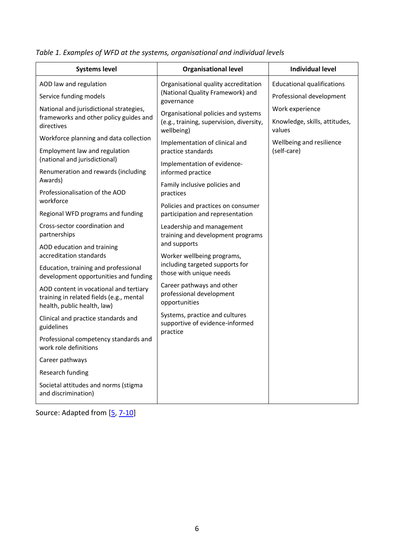<span id="page-12-0"></span>

|  |  |  |  |  | Table 1. Examples of WFD at the systems, organisational and individual levels |
|--|--|--|--|--|-------------------------------------------------------------------------------|
|--|--|--|--|--|-------------------------------------------------------------------------------|

| <b>Systems level</b>                                                                                              | <b>Organisational level</b>                                                     | <b>Individual level</b>                          |
|-------------------------------------------------------------------------------------------------------------------|---------------------------------------------------------------------------------|--------------------------------------------------|
| AOD law and regulation                                                                                            | Organisational quality accreditation                                            | <b>Educational qualifications</b>                |
| Service funding models                                                                                            | (National Quality Framework) and<br>governance                                  | Professional development                         |
| National and jurisdictional strategies,<br>frameworks and other policy guides and<br>directives                   | Organisational policies and systems<br>(e.g., training, supervision, diversity, | Work experience<br>Knowledge, skills, attitudes, |
| Workforce planning and data collection                                                                            | wellbeing)                                                                      | values                                           |
| Employment law and regulation                                                                                     | Implementation of clinical and<br>practice standards                            | Wellbeing and resilience<br>(self-care)          |
| (national and jurisdictional)                                                                                     | Implementation of evidence-                                                     |                                                  |
| Renumeration and rewards (including<br>Awards)                                                                    | informed practice                                                               |                                                  |
| Professionalisation of the AOD<br>workforce                                                                       | Family inclusive policies and<br>practices                                      |                                                  |
| Regional WFD programs and funding                                                                                 | Policies and practices on consumer<br>participation and representation          |                                                  |
| Cross-sector coordination and<br>partnerships                                                                     | Leadership and management<br>training and development programs                  |                                                  |
| AOD education and training                                                                                        | and supports                                                                    |                                                  |
| accreditation standards                                                                                           | Worker wellbeing programs,<br>including targeted supports for                   |                                                  |
| Education, training and professional<br>development opportunities and funding                                     | those with unique needs                                                         |                                                  |
| AOD content in vocational and tertiary<br>training in related fields (e.g., mental<br>health, public health, law) | Career pathways and other<br>professional development<br>opportunities          |                                                  |
| Clinical and practice standards and<br>guidelines                                                                 | Systems, practice and cultures<br>supportive of evidence-informed<br>practice   |                                                  |
| Professional competency standards and<br>work role definitions                                                    |                                                                                 |                                                  |
| Career pathways                                                                                                   |                                                                                 |                                                  |
| Research funding                                                                                                  |                                                                                 |                                                  |
| Societal attitudes and norms (stigma<br>and discrimination)                                                       |                                                                                 |                                                  |

Source: Adapted from [\[5,](#page-57-5) [7-10\]](#page-57-7)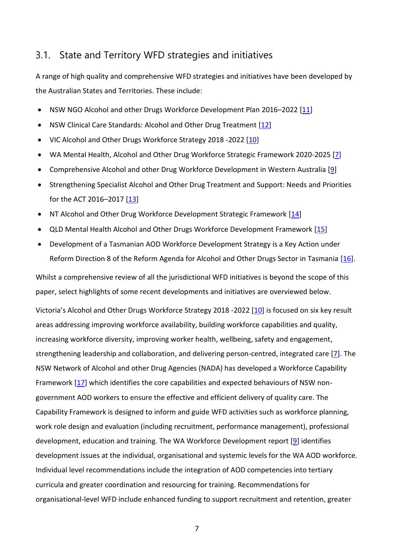## <span id="page-13-0"></span>3.1. State and Territory WFD strategies and initiatives

A range of high quality and comprehensive WFD strategies and initiatives have been developed by the Australian States and Territories. These include:

- NSW NGO Alcohol and other Drugs Workforce Development Plan 2016-2022 [\[11\]](#page-57-8)
- NSW Clinical Care Standards: Alcohol and Other Drug Treatment [\[12\]](#page-57-9)
- VIC Alcohol and Other Drugs Workforce Strategy 2018 -2022 [\[10\]](#page-57-10)
- WA Mental Health, Alcohol and Other Drug Workforce Strategic Framework 2020-2025 [\[7\]](#page-57-7)
- Comprehensive Alcohol and other Drug Workforce Development in Western Australia [\[9\]](#page-57-11)
- Strengthening Specialist Alcohol and Other Drug Treatment and Support: Needs and Priorities for the ACT 2016–2017 [\[13\]](#page-57-12)
- NT Alcohol and Other Drug Workforce Development Strategic Framework [\[14\]](#page-58-0)
- QLD Mental Health Alcohol and Other Drugs Workforce Development Framework [\[15\]](#page-58-1)
- Development of a Tasmanian AOD Workforce Development Strategy is a Key Action under Reform Direction 8 of the Reform Agenda for Alcohol and Other Drugs Sector in Tasmania [\[16\]](#page-58-2).

Whilst a comprehensive review of all the jurisdictional WFD initiatives is beyond the scope of this paper, select highlights of some recent developments and initiatives are overviewed below.

Victoria's Alcohol and Other Drugs Workforce Strategy 2018 -2022 [\[10\]](#page-57-10) is focused on six key result areas addressing improving workforce availability, building workforce capabilities and quality, increasing workforce diversity, improving worker health, wellbeing, safety and engagement, strengthening leadership and collaboration, and delivering person-centred, integrated care [\[7\]](#page-57-7). The NSW Network of Alcohol and other Drug Agencies (NADA) has developed a Workforce Capability Framework [\[17\]](#page-58-3) which identifies the core capabilities and expected behaviours of NSW nongovernment AOD workers to ensure the effective and efficient delivery of quality care. The Capability Framework is designed to inform and guide WFD activities such as workforce planning, work role design and evaluation (including recruitment, performance management), professional development, education and training. The WA Workforce Development report [\[9\]](#page-57-11) identifies development issues at the individual, organisational and systemic levels for the WA AOD workforce. Individual level recommendations include the integration of AOD competencies into tertiary curricula and greater coordination and resourcing for training. Recommendations for organisational-level WFD include enhanced funding to support recruitment and retention, greater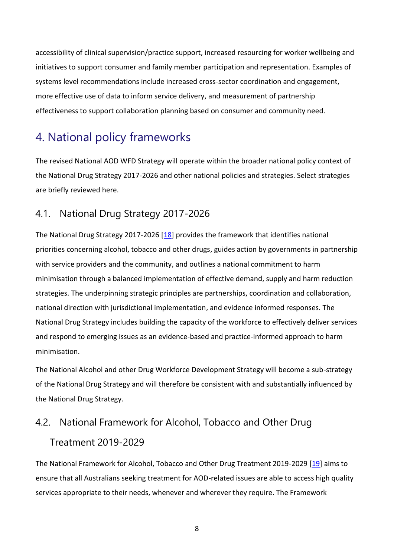accessibility of clinical supervision/practice support, increased resourcing for worker wellbeing and initiatives to support consumer and family member participation and representation. Examples of systems level recommendations include increased cross-sector coordination and engagement, more effective use of data to inform service delivery, and measurement of partnership effectiveness to support collaboration planning based on consumer and community need.

# <span id="page-14-0"></span>4. National policy frameworks

The revised National AOD WFD Strategy will operate within the broader national policy context of the National Drug Strategy 2017-2026 and other national policies and strategies. Select strategies are briefly reviewed here.

## <span id="page-14-1"></span>4.1. National Drug Strategy 2017-2026

The National Drug Strategy 2017-2026 [\[18\]](#page-58-4) provides the framework that identifies national priorities concerning alcohol, tobacco and other drugs, guides action by governments in partnership with service providers and the community, and outlines a national commitment to harm minimisation through a balanced implementation of effective demand, supply and harm reduction strategies. The underpinning strategic principles are partnerships, coordination and collaboration, national direction with jurisdictional implementation, and evidence informed responses. The National Drug Strategy includes building the capacity of the workforce to effectively deliver services and respond to emerging issues as an evidence-based and practice-informed approach to harm minimisation.

The National Alcohol and other Drug Workforce Development Strategy will become a sub-strategy of the National Drug Strategy and will therefore be consistent with and substantially influenced by the National Drug Strategy.

# <span id="page-14-2"></span>4.2. National Framework for Alcohol, Tobacco and Other Drug Treatment 2019-2029

The National Framework for Alcohol, Tobacco and Other Drug Treatment 2019-2029 [\[19\]](#page-58-5) aims to ensure that all Australians seeking treatment for AOD-related issues are able to access high quality services appropriate to their needs, whenever and wherever they require. The Framework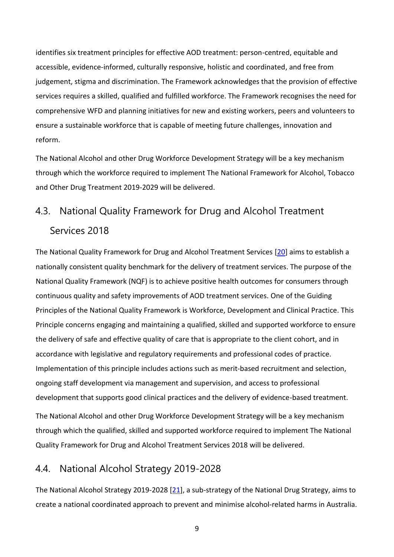identifies six treatment principles for effective AOD treatment: person-centred, equitable and accessible, evidence-informed, culturally responsive, holistic and coordinated, and free from judgement, stigma and discrimination. The Framework acknowledges that the provision of effective services requires a skilled, qualified and fulfilled workforce. The Framework recognises the need for comprehensive WFD and planning initiatives for new and existing workers, peers and volunteers to ensure a sustainable workforce that is capable of meeting future challenges, innovation and reform.

The National Alcohol and other Drug Workforce Development Strategy will be a key mechanism through which the workforce required to implement The National Framework for Alcohol, Tobacco and Other Drug Treatment 2019-2029 will be delivered.

## <span id="page-15-0"></span>4.3. National Quality Framework for Drug and Alcohol Treatment Services 2018

The National Quality Framework for Drug and Alcohol Treatment Services [\[20\]](#page-58-6) aims to establish a nationally consistent quality benchmark for the delivery of treatment services. The purpose of the National Quality Framework (NQF) is to achieve positive health outcomes for consumers through continuous quality and safety improvements of AOD treatment services. One of the Guiding Principles of the National Quality Framework is Workforce, Development and Clinical Practice. This Principle concerns engaging and maintaining a qualified, skilled and supported workforce to ensure the delivery of safe and effective quality of care that is appropriate to the client cohort, and in accordance with legislative and regulatory requirements and professional codes of practice. Implementation of this principle includes actions such as merit-based recruitment and selection, ongoing staff development via management and supervision, and access to professional development that supports good clinical practices and the delivery of evidence-based treatment. The National Alcohol and other Drug Workforce Development Strategy will be a key mechanism through which the qualified, skilled and supported workforce required to implement The National Quality Framework for Drug and Alcohol Treatment Services 2018 will be delivered.

## <span id="page-15-1"></span>4.4. National Alcohol Strategy 2019-2028

The National Alcohol Strategy 2019-2028 [\[21\]](#page-58-7), a sub-strategy of the National Drug Strategy, aims to create a national coordinated approach to prevent and minimise alcohol-related harms in Australia.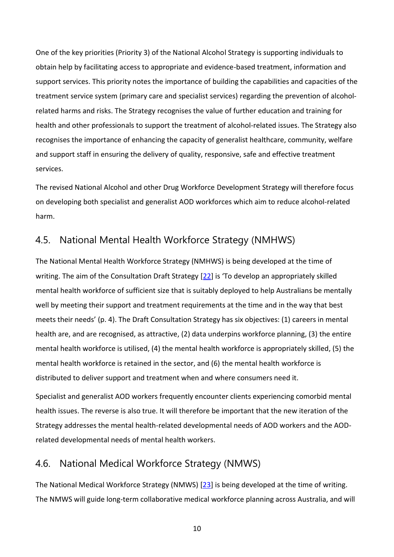One of the key priorities (Priority 3) of the National Alcohol Strategy is supporting individuals to obtain help by facilitating access to appropriate and evidence-based treatment, information and support services. This priority notes the importance of building the capabilities and capacities of the treatment service system (primary care and specialist services) regarding the prevention of alcoholrelated harms and risks. The Strategy recognises the value of further education and training for health and other professionals to support the treatment of alcohol-related issues. The Strategy also recognises the importance of enhancing the capacity of generalist healthcare, community, welfare and support staff in ensuring the delivery of quality, responsive, safe and effective treatment services.

The revised National Alcohol and other Drug Workforce Development Strategy will therefore focus on developing both specialist and generalist AOD workforces which aim to reduce alcohol-related harm.

## <span id="page-16-0"></span>4.5. National Mental Health Workforce Strategy (NMHWS)

The National Mental Health Workforce Strategy (NMHWS) is being developed at the time of writing. The aim of the Consultation Draft Strategy [\[22\]](#page-58-8) is 'To develop an appropriately skilled mental health workforce of sufficient size that is suitably deployed to help Australians be mentally well by meeting their support and treatment requirements at the time and in the way that best meets their needs' (p. 4). The Draft Consultation Strategy has six objectives: (1) careers in mental health are, and are recognised, as attractive, (2) data underpins workforce planning, (3) the entire mental health workforce is utilised, (4) the mental health workforce is appropriately skilled, (5) the mental health workforce is retained in the sector, and (6) the mental health workforce is distributed to deliver support and treatment when and where consumers need it.

Specialist and generalist AOD workers frequently encounter clients experiencing comorbid mental health issues. The reverse is also true. It will therefore be important that the new iteration of the Strategy addresses the mental health-related developmental needs of AOD workers and the AODrelated developmental needs of mental health workers.

## <span id="page-16-1"></span>4.6. National Medical Workforce Strategy (NMWS)

The National Medical Workforce Strategy (NMWS) [\[23\]](#page-58-9) is being developed at the time of writing. The NMWS will guide long-term collaborative medical workforce planning across Australia, and will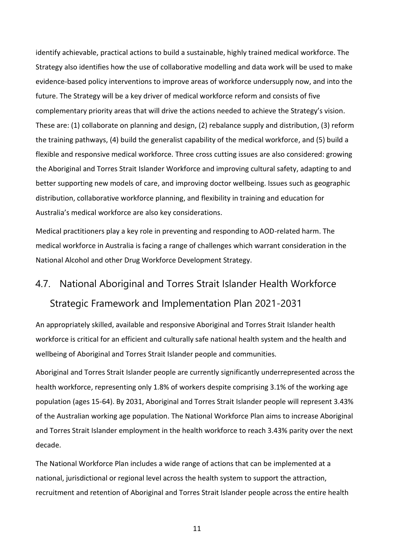identify achievable, practical actions to build a sustainable, highly trained medical workforce. The Strategy also identifies how the use of collaborative modelling and data work will be used to make evidence-based policy interventions to improve areas of workforce undersupply now, and into the future. The Strategy will be a key driver of medical workforce reform and consists of five complementary priority areas that will drive the actions needed to achieve the Strategy's vision. These are: (1) collaborate on planning and design, (2) rebalance supply and distribution, (3) reform the training pathways, (4) build the generalist capability of the medical workforce, and (5) build a flexible and responsive medical workforce. Three cross cutting issues are also considered: growing the Aboriginal and Torres Strait Islander Workforce and improving cultural safety, adapting to and better supporting new models of care, and improving doctor wellbeing. Issues such as geographic distribution, collaborative workforce planning, and flexibility in training and education for Australia's medical workforce are also key considerations.

Medical practitioners play a key role in preventing and responding to AOD-related harm. The medical workforce in Australia is facing a range of challenges which warrant consideration in the National Alcohol and other Drug Workforce Development Strategy.

# <span id="page-17-0"></span>4.7. National Aboriginal and Torres Strait Islander Health Workforce Strategic Framework and Implementation Plan 2021-2031

An appropriately skilled, available and responsive Aboriginal and Torres Strait Islander health workforce is critical for an efficient and culturally safe national health system and the health and wellbeing of Aboriginal and Torres Strait Islander people and communities.

Aboriginal and Torres Strait Islander people are currently significantly underrepresented across the health workforce, representing only 1.8% of workers despite comprising 3.1% of the working age population (ages 15-64). By 2031, Aboriginal and Torres Strait Islander people will represent 3.43% of the Australian working age population. The National Workforce Plan aims to increase Aboriginal and Torres Strait Islander employment in the health workforce to reach 3.43% parity over the next decade.

The National Workforce Plan includes a wide range of actions that can be implemented at a national, jurisdictional or regional level across the health system to support the attraction, recruitment and retention of Aboriginal and Torres Strait Islander people across the entire health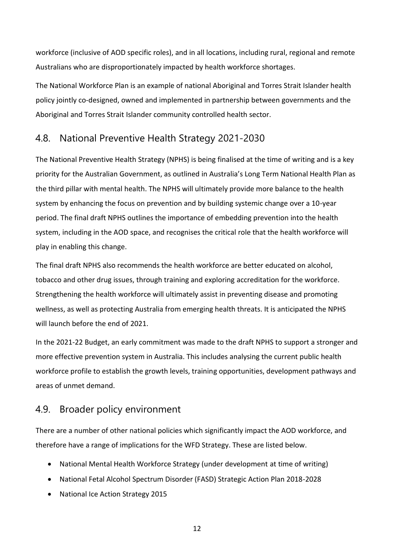workforce (inclusive of AOD specific roles), and in all locations, including rural, regional and remote Australians who are disproportionately impacted by health workforce shortages.

The National Workforce Plan is an example of national Aboriginal and Torres Strait Islander health policy jointly co-designed, owned and implemented in partnership between governments and the Aboriginal and Torres Strait Islander community controlled health sector.

## <span id="page-18-0"></span>4.8. National Preventive Health Strategy 2021-2030

The National Preventive Health Strategy (NPHS) is being finalised at the time of writing and is a key priority for the Australian Government, as outlined in Australia's Long Term National Health Plan as the third pillar with mental health. The NPHS will ultimately provide more balance to the health system by enhancing the focus on prevention and by building systemic change over a 10-year period. The final draft NPHS outlines the importance of embedding prevention into the health system, including in the AOD space, and recognises the critical role that the health workforce will play in enabling this change.

The final draft NPHS also recommends the health workforce are better educated on alcohol, tobacco and other drug issues, through training and exploring accreditation for the workforce. Strengthening the health workforce will ultimately assist in preventing disease and promoting wellness, as well as protecting Australia from emerging health threats. It is anticipated the NPHS will launch before the end of 2021.

In the 2021-22 Budget, an early commitment was made to the draft NPHS to support a stronger and more effective prevention system in Australia. This includes analysing the current public health workforce profile to establish the growth levels, training opportunities, development pathways and areas of unmet demand.

## <span id="page-18-1"></span>4.9. Broader policy environment

There are a number of other national policies which significantly impact the AOD workforce, and therefore have a range of implications for the WFD Strategy. These are listed below.

- National Mental Health Workforce Strategy (under development at time of writing)
- National Fetal Alcohol Spectrum Disorder (FASD) Strategic Action Plan 2018-2028
- National Ice Action Strategy 2015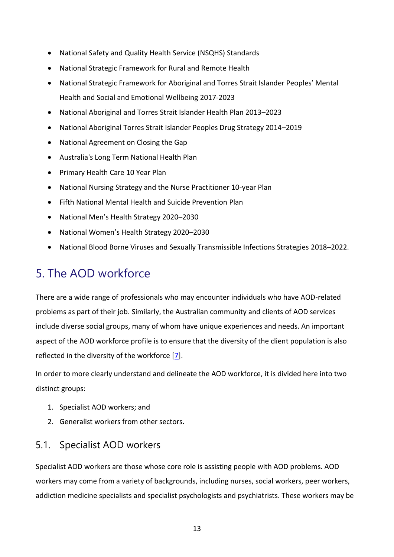- National Safety and Quality Health Service (NSQHS) Standards
- National Strategic Framework for Rural and Remote Health
- National Strategic Framework for Aboriginal and Torres Strait Islander Peoples' Mental Health and Social and Emotional Wellbeing 2017-2023
- National Aboriginal and Torres Strait Islander Health Plan 2013–2023
- National Aboriginal Torres Strait Islander Peoples Drug Strategy 2014–2019
- National Agreement on Closing the Gap
- Australia's Long Term National Health Plan
- Primary Health Care 10 Year Plan
- National Nursing Strategy and the Nurse Practitioner 10-year Plan
- Fifth National Mental Health and Suicide Prevention Plan
- National Men's Health Strategy 2020–2030
- National Women's Health Strategy 2020–2030
- National Blood Borne Viruses and Sexually Transmissible Infections Strategies 2018–2022.

## <span id="page-19-0"></span>5. The AOD workforce

There are a wide range of professionals who may encounter individuals who have AOD-related problems as part of their job. Similarly, the Australian community and clients of AOD services include diverse social groups, many of whom have unique experiences and needs. An important aspect of the AOD workforce profile is to ensure that the diversity of the client population is also reflected in the diversity of the workforce [\[7\]](#page-57-7).

In order to more clearly understand and delineate the AOD workforce, it is divided here into two distinct groups:

- 1. Specialist AOD workers; and
- 2. Generalist workers from other sectors.

## <span id="page-19-1"></span>5.1. Specialist AOD workers

Specialist AOD workers are those whose core role is assisting people with AOD problems. AOD workers may come from a variety of backgrounds, including nurses, social workers, peer workers, addiction medicine specialists and specialist psychologists and psychiatrists. These workers may be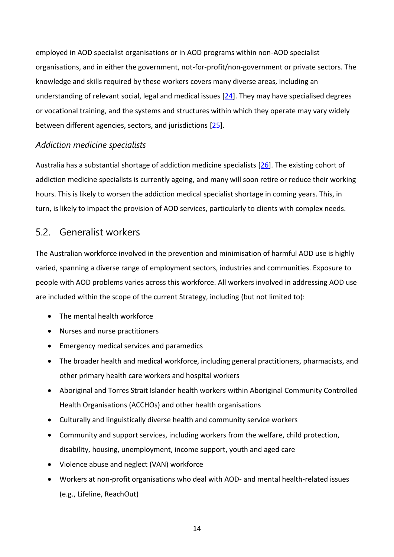employed in AOD specialist organisations or in AOD programs within non-AOD specialist organisations, and in either the government, not-for-profit/non-government or private sectors. The knowledge and skills required by these workers covers many diverse areas, including an understanding of relevant social, legal and medical issues [\[24\]](#page-58-10). They may have specialised degrees or vocational training, and the systems and structures within which they operate may vary widely between different agencies, sectors, and jurisdictions [\[25\]](#page-58-11).

#### <span id="page-20-0"></span>*Addiction medicine specialists*

Australia has a substantial shortage of addiction medicine specialists [\[26\]](#page-58-12). The existing cohort of addiction medicine specialists is currently ageing, and many will soon retire or reduce their working hours. This is likely to worsen the addiction medical specialist shortage in coming years. This, in turn, is likely to impact the provision of AOD services, particularly to clients with complex needs.

### <span id="page-20-1"></span>5.2. Generalist workers

The Australian workforce involved in the prevention and minimisation of harmful AOD use is highly varied, spanning a diverse range of employment sectors, industries and communities. Exposure to people with AOD problems varies across this workforce. All workers involved in addressing AOD use are included within the scope of the current Strategy, including (but not limited to):

- The mental health workforce
- Nurses and nurse practitioners
- Emergency medical services and paramedics
- The broader health and medical workforce, including general practitioners, pharmacists, and other primary health care workers and hospital workers
- Aboriginal and Torres Strait Islander health workers within Aboriginal Community Controlled Health Organisations (ACCHOs) and other health organisations
- Culturally and linguistically diverse health and community service workers
- Community and support services, including workers from the welfare, child protection, disability, housing, unemployment, income support, youth and aged care
- Violence abuse and neglect (VAN) workforce
- Workers at non-profit organisations who deal with AOD- and mental health-related issues (e.g., Lifeline, ReachOut)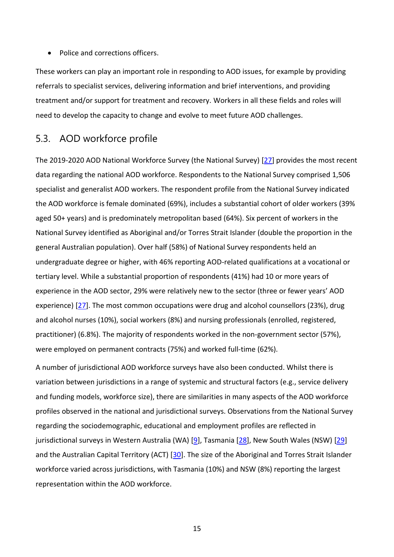• Police and corrections officers.

These workers can play an important role in responding to AOD issues, for example by providing referrals to specialist services, delivering information and brief interventions, and providing treatment and/or support for treatment and recovery. Workers in all these fields and roles will need to develop the capacity to change and evolve to meet future AOD challenges.

### <span id="page-21-0"></span>5.3. AOD workforce profile

The 2019-2020 AOD National Workforce Survey (the National Survey) [\[27\]](#page-58-13) provides the most recent data regarding the national AOD workforce. Respondents to the National Survey comprised 1,506 specialist and generalist AOD workers. The respondent profile from the National Survey indicated the AOD workforce is female dominated (69%), includes a substantial cohort of older workers (39% aged 50+ years) and is predominately metropolitan based (64%). Six percent of workers in the National Survey identified as Aboriginal and/or Torres Strait Islander (double the proportion in the general Australian population). Over half (58%) of National Survey respondents held an undergraduate degree or higher, with 46% reporting AOD-related qualifications at a vocational or tertiary level. While a substantial proportion of respondents (41%) had 10 or more years of experience in the AOD sector, 29% were relatively new to the sector (three or fewer years' AOD experience) [\[27\]](#page-58-13). The most common occupations were drug and alcohol counsellors (23%), drug and alcohol nurses (10%), social workers (8%) and nursing professionals (enrolled, registered, practitioner) (6.8%). The majority of respondents worked in the non-government sector (57%), were employed on permanent contracts (75%) and worked full-time (62%).

A number of jurisdictional AOD workforce surveys have also been conducted. Whilst there is variation between jurisdictions in a range of systemic and structural factors (e.g., service delivery and funding models, workforce size), there are similarities in many aspects of the AOD workforce profiles observed in the national and jurisdictional surveys. Observations from the National Survey regarding the sociodemographic, educational and employment profiles are reflected in jurisdictional surveys in Western Australia (WA) [\[9\]](#page-57-11), Tasmania [\[28\]](#page-58-14), New South Wales (NSW) [\[29\]](#page-58-15) and the Australian Capital Territory (ACT) [\[30\]](#page-58-16). The size of the Aboriginal and Torres Strait Islander workforce varied across jurisdictions, with Tasmania (10%) and NSW (8%) reporting the largest representation within the AOD workforce.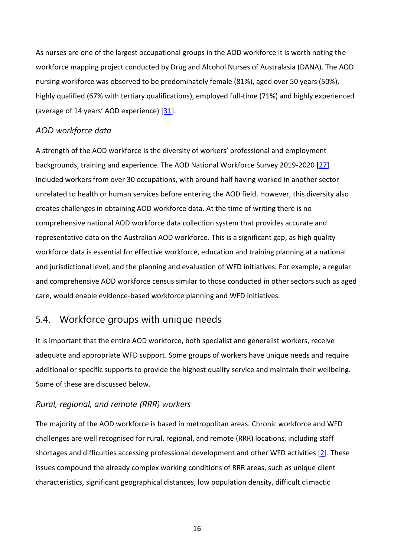As nurses are one of the largest occupational groups in the AOD workforce it is worth noting the workforce mapping project conducted by Drug and Alcohol Nurses of Australasia (DANA). The AOD nursing workforce was observed to be predominately female (81%), aged over 50 years (50%), highly qualified (67% with tertiary qualifications), employed full-time (71%) and highly experienced (average of 14 years' AOD experience) [\[31\]](#page-59-0).

#### <span id="page-22-0"></span>*AOD workforce data*

A strength of the AOD workforce is the diversity of workers' professional and employment backgrounds, training and experience. The AOD National Workforce Survey 2019-2020 [\[27\]](#page-58-13) included workers from over 30 occupations, with around half having worked in another sector unrelated to health or human services before entering the AOD field. However, this diversity also creates challenges in obtaining AOD workforce data. At the time of writing there is no comprehensive national AOD workforce data collection system that provides accurate and representative data on the Australian AOD workforce. This is a significant gap, as high quality workforce data is essential for effective workforce, education and training planning at a national and jurisdictional level, and the planning and evaluation of WFD initiatives. For example, a regular and comprehensive AOD workforce census similar to those conducted in other sectors such as aged care, would enable evidence-based workforce planning and WFD initiatives.

## <span id="page-22-1"></span>5.4. Workforce groups with unique needs

It is important that the entire AOD workforce, both specialist and generalist workers, receive adequate and appropriate WFD support. Some groups of workers have unique needs and require additional or specific supports to provide the highest quality service and maintain their wellbeing. Some of these are discussed below.

#### <span id="page-22-2"></span>*Rural, regional, and remote (RRR) workers*

The majority of the AOD workforce is based in metropolitan areas. Chronic workforce and WFD challenges are well recognised for rural, regional, and remote (RRR) locations, including staff shortages and difficulties accessing professional development and other WFD activities [\[2\]](#page-57-2). These issues compound the already complex working conditions of RRR areas, such as unique client characteristics, significant geographical distances, low population density, difficult climactic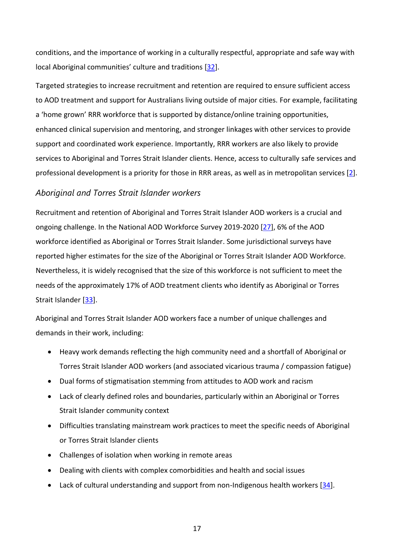conditions, and the importance of working in a culturally respectful, appropriate and safe way with local Aboriginal communities' culture and traditions [\[32\]](#page-59-1).

Targeted strategies to increase recruitment and retention are required to ensure sufficient access to AOD treatment and support for Australians living outside of major cities. For example, facilitating a 'home grown' RRR workforce that is supported by distance/online training opportunities, enhanced clinical supervision and mentoring, and stronger linkages with other services to provide support and coordinated work experience. Importantly, RRR workers are also likely to provide services to Aboriginal and Torres Strait Islander clients. Hence, access to culturally safe services and professional development is a priority for those in RRR areas, as well as in metropolitan services [\[2\]](#page-57-2).

#### <span id="page-23-0"></span>*Aboriginal and Torres Strait Islander workers*

Recruitment and retention of Aboriginal and Torres Strait Islander AOD workers is a crucial and ongoing challenge. In the National AOD Workforce Survey 2019-2020 [\[27\]](#page-58-13), 6% of the AOD workforce identified as Aboriginal or Torres Strait Islander. Some jurisdictional surveys have reported higher estimates for the size of the Aboriginal or Torres Strait Islander AOD Workforce. Nevertheless, it is widely recognised that the size of this workforce is not sufficient to meet the needs of the approximately 17% of AOD treatment clients who identify as Aboriginal or Torres Strait Islander [\[33\]](#page-59-2).

Aboriginal and Torres Strait Islander AOD workers face a number of unique challenges and demands in their work, including:

- Heavy work demands reflecting the high community need and a shortfall of Aboriginal or Torres Strait Islander AOD workers (and associated vicarious trauma / compassion fatigue)
- Dual forms of stigmatisation stemming from attitudes to AOD work and racism
- Lack of clearly defined roles and boundaries, particularly within an Aboriginal or Torres Strait Islander community context
- Difficulties translating mainstream work practices to meet the specific needs of Aboriginal or Torres Strait Islander clients
- Challenges of isolation when working in remote areas
- Dealing with clients with complex comorbidities and health and social issues
- Lack of cultural understanding and support from non-Indigenous health workers [\[34\]](#page-59-3).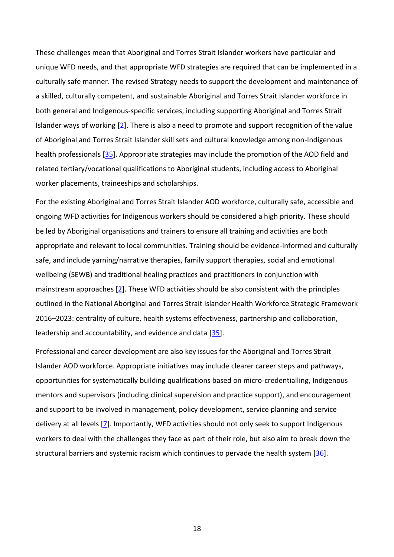These challenges mean that Aboriginal and Torres Strait Islander workers have particular and unique WFD needs, and that appropriate WFD strategies are required that can be implemented in a culturally safe manner. The revised Strategy needs to support the development and maintenance of a skilled, culturally competent, and sustainable Aboriginal and Torres Strait Islander workforce in both general and Indigenous-specific services, including supporting Aboriginal and Torres Strait Islander ways of working [\[2\]](#page-57-2). There is also a need to promote and support recognition of the value of Aboriginal and Torres Strait Islander skill sets and cultural knowledge among non-Indigenous health professionals [\[35\]](#page-59-4). Appropriate strategies may include the promotion of the AOD field and related tertiary/vocational qualifications to Aboriginal students, including access to Aboriginal worker placements, traineeships and scholarships.

For the existing Aboriginal and Torres Strait Islander AOD workforce, culturally safe, accessible and ongoing WFD activities for Indigenous workers should be considered a high priority. These should be led by Aboriginal organisations and trainers to ensure all training and activities are both appropriate and relevant to local communities. Training should be evidence-informed and culturally safe, and include yarning/narrative therapies, family support therapies, social and emotional wellbeing (SEWB) and traditional healing practices and practitioners in conjunction with mainstream approaches [\[2\]](#page-57-2). These WFD activities should be also consistent with the principles outlined in the National Aboriginal and Torres Strait Islander Health Workforce Strategic Framework 2016–2023: centrality of culture, health systems effectiveness, partnership and collaboration, leadership and accountability, and evidence and data [\[35\]](#page-59-4).

Professional and career development are also key issues for the Aboriginal and Torres Strait Islander AOD workforce. Appropriate initiatives may include clearer career steps and pathways, opportunities for systematically building qualifications based on micro-credentialling, Indigenous mentors and supervisors (including clinical supervision and practice support), and encouragement and support to be involved in management, policy development, service planning and service delivery at all levels [\[7\]](#page-57-7). Importantly, WFD activities should not only seek to support Indigenous workers to deal with the challenges they face as part of their role, but also aim to break down the structural barriers and systemic racism which continues to pervade the health system [\[36\]](#page-59-5).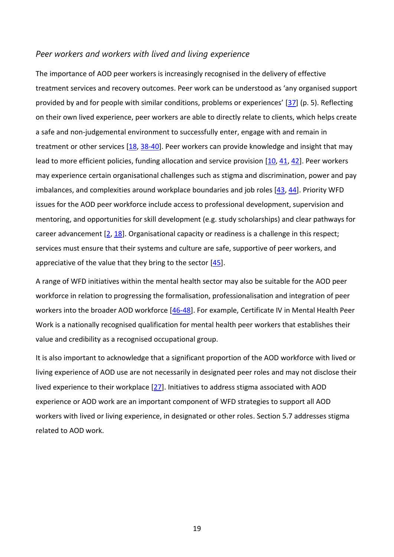#### <span id="page-25-0"></span>*Peer workers and workers with lived and living experience*

The importance of AOD peer workers is increasingly recognised in the delivery of effective treatment services and recovery outcomes. Peer work can be understood as 'any organised support provided by and for people with similar conditions, problems or experiences' [\[37\]](#page-59-6) (p. 5). Reflecting on their own lived experience, peer workers are able to directly relate to clients, which helps create a safe and non-judgemental environment to successfully enter, engage with and remain in treatment or other services  $[18, 38-40]$  $[18, 38-40]$ . Peer workers can provide knowledge and insight that may lead to more efficient policies, funding allocation and service provision [\[10,](#page-57-10) [41,](#page-59-8) [42\]](#page-59-9). Peer workers may experience certain organisational challenges such as stigma and discrimination, power and pay imbalances, and complexities around workplace boundaries and job roles [\[43,](#page-59-10) [44\]](#page-59-11). Priority WFD issues for the AOD peer workforce include access to professional development, supervision and mentoring, and opportunities for skill development (e.g. study scholarships) and clear pathways for career advancement [\[2,](#page-57-2) [18\]](#page-58-4). Organisational capacity or readiness is a challenge in this respect; services must ensure that their systems and culture are safe, supportive of peer workers, and appreciative of the value that they bring to the sector [\[45\]](#page-59-12).

A range of WFD initiatives within the mental health sector may also be suitable for the AOD peer workforce in relation to progressing the formalisation, professionalisation and integration of peer workers into the broader AOD workforce [\[46-48\]](#page-59-13). For example, Certificate IV in Mental Health Peer Work is a nationally recognised qualification for mental health peer workers that establishes their value and credibility as a recognised occupational group.

It is also important to acknowledge that a significant proportion of the AOD workforce with lived or living experience of AOD use are not necessarily in designated peer roles and may not disclose their lived experience to their workplace [\[27\]](#page-58-13). Initiatives to address stigma associated with AOD experience or AOD work are an important component of WFD strategies to support all AOD workers with lived or living experience, in designated or other roles. Section 5.7 addresses stigma related to AOD work.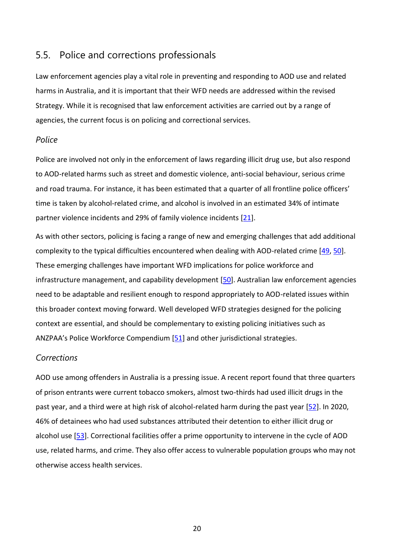## <span id="page-26-0"></span>5.5. Police and corrections professionals

Law enforcement agencies play a vital role in preventing and responding to AOD use and related harms in Australia, and it is important that their WFD needs are addressed within the revised Strategy. While it is recognised that law enforcement activities are carried out by a range of agencies, the current focus is on policing and correctional services.

#### <span id="page-26-1"></span>*Police*

Police are involved not only in the enforcement of laws regarding illicit drug use, but also respond to AOD-related harms such as street and domestic violence, anti-social behaviour, serious crime and road trauma. For instance, it has been estimated that a quarter of all frontline police officers' time is taken by alcohol-related crime, and alcohol is involved in an estimated 34% of intimate partner violence incidents and 29% of family violence incidents [\[21\]](#page-58-7).

As with other sectors, policing is facing a range of new and emerging challenges that add additional complexity to the typical difficulties encountered when dealing with AOD-related crime [\[49,](#page-60-0) [50\]](#page-60-1). These emerging challenges have important WFD implications for police workforce and infrastructure management, and capability development [\[50\]](#page-60-1). Australian law enforcement agencies need to be adaptable and resilient enough to respond appropriately to AOD-related issues within this broader context moving forward. Well developed WFD strategies designed for the policing context are essential, and should be complementary to existing policing initiatives such as ANZPAA's Police Workforce Compendium [\[51\]](#page-60-2) and other jurisdictional strategies.

#### <span id="page-26-2"></span>*Corrections*

AOD use among offenders in Australia is a pressing issue. A recent report found that three quarters of prison entrants were current tobacco smokers, almost two-thirds had used illicit drugs in the past year, and a third were at high risk of alcohol-related harm during the past year [\[52\]](#page-60-3). In 2020, 46% of detainees who had used substances attributed their detention to either illicit drug or alcohol use [\[53\]](#page-60-4). Correctional facilities offer a prime opportunity to intervene in the cycle of AOD use, related harms, and crime. They also offer access to vulnerable population groups who may not otherwise access health services.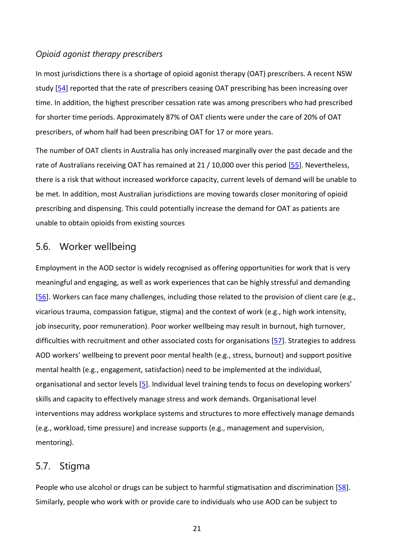#### <span id="page-27-0"></span>*Opioid agonist therapy prescribers*

In most jurisdictions there is a shortage of opioid agonist therapy (OAT) prescribers. A recent NSW study [\[54\]](#page-60-5) reported that the rate of prescribers ceasing OAT prescribing has been increasing over time. In addition, the highest prescriber cessation rate was among prescribers who had prescribed for shorter time periods. Approximately 87% of OAT clients were under the care of 20% of OAT prescribers, of whom half had been prescribing OAT for 17 or more years.

The number of OAT clients in Australia has only increased marginally over the past decade and the rate of Australians receiving OAT has remained at 21 / 10,000 over this period [\[55\]](#page-60-6). Nevertheless, there is a risk that without increased workforce capacity, current levels of demand will be unable to be met. In addition, most Australian jurisdictions are moving towards closer monitoring of opioid prescribing and dispensing. This could potentially increase the demand for OAT as patients are unable to obtain opioids from existing sources

## <span id="page-27-1"></span>5.6. Worker wellbeing

Employment in the AOD sector is widely recognised as offering opportunities for work that is very meaningful and engaging, as well as work experiences that can be highly stressful and demanding [\[56\]](#page-60-7). Workers can face many challenges, including those related to the provision of client care (e.g., vicarious trauma, compassion fatigue, stigma) and the context of work (e.g., high work intensity, job insecurity, poor remuneration). Poor worker wellbeing may result in burnout, high turnover, difficulties with recruitment and other associated costs for organisations [\[57\]](#page-60-8). Strategies to address AOD workers' wellbeing to prevent poor mental health (e.g., stress, burnout) and support positive mental health (e.g., engagement, satisfaction) need to be implemented at the individual, organisational and sector levels [\[5\]](#page-57-5). Individual level training tends to focus on developing workers' skills and capacity to effectively manage stress and work demands. Organisational level interventions may address workplace systems and structures to more effectively manage demands (e.g., workload, time pressure) and increase supports (e.g., management and supervision, mentoring).

## <span id="page-27-2"></span>5.7. Stigma

People who use alcohol or drugs can be subject to harmful stigmatisation and discrimination [\[58\]](#page-60-9). Similarly, people who work with or provide care to individuals who use AOD can be subject to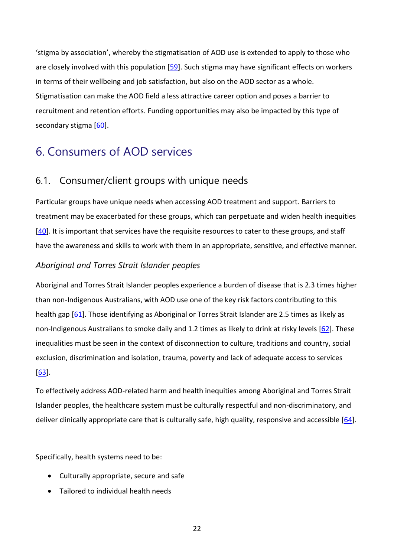'stigma by association', whereby the stigmatisation of AOD use is extended to apply to those who are closely involved with this population [\[59\]](#page-60-10). Such stigma may have significant effects on workers in terms of their wellbeing and job satisfaction, but also on the AOD sector as a whole. Stigmatisation can make the AOD field a less attractive career option and poses a barrier to recruitment and retention efforts. Funding opportunities may also be impacted by this type of secondary stigma [\[60\]](#page-60-11).

## <span id="page-28-0"></span>6. Consumers of AOD services

## <span id="page-28-1"></span>6.1. Consumer/client groups with unique needs

Particular groups have unique needs when accessing AOD treatment and support. Barriers to treatment may be exacerbated for these groups, which can perpetuate and widen health inequities [\[40\]](#page-59-14). It is important that services have the requisite resources to cater to these groups, and staff have the awareness and skills to work with them in an appropriate, sensitive, and effective manner.

#### <span id="page-28-2"></span>*Aboriginal and Torres Strait Islander peoples*

Aboriginal and Torres Strait Islander peoples experience a burden of disease that is 2.3 times higher than non-Indigenous Australians, with AOD use one of the key risk factors contributing to this health gap [\[61\]](#page-60-12). Those identifying as Aboriginal or Torres Strait Islander are 2.5 times as likely as non-Indigenous Australians to smoke daily and 1.2 times as likely to drink at risky levels [\[62\]](#page-60-13). These inequalities must be seen in the context of disconnection to culture, traditions and country, social exclusion, discrimination and isolation, trauma, poverty and lack of adequate access to services [\[63\]](#page-60-14).

To effectively address AOD-related harm and health inequities among Aboriginal and Torres Strait Islander peoples, the healthcare system must be culturally respectful and non-discriminatory, and deliver clinically appropriate care that is culturally safe, high quality, responsive and accessible [\[64\]](#page-61-0).

Specifically, health systems need to be:

- Culturally appropriate, secure and safe
- Tailored to individual health needs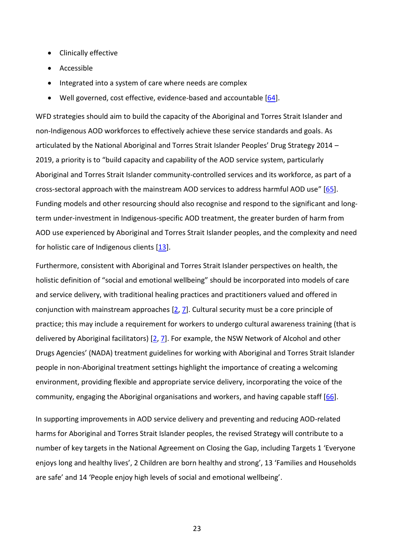- Clinically effective
- Accessible
- Integrated into a system of care where needs are complex
- Well governed, cost effective, evidence-based and accountable [\[64\]](#page-61-0).

WFD strategies should aim to build the capacity of the Aboriginal and Torres Strait Islander and non-Indigenous AOD workforces to effectively achieve these service standards and goals. As articulated by the National Aboriginal and Torres Strait Islander Peoples' Drug Strategy 2014 – 2019, a priority is to "build capacity and capability of the AOD service system, particularly Aboriginal and Torres Strait Islander community-controlled services and its workforce, as part of a cross-sectoral approach with the mainstream AOD services to address harmful AOD use" [\[65\]](#page-61-1). Funding models and other resourcing should also recognise and respond to the significant and longterm under-investment in Indigenous-specific AOD treatment, the greater burden of harm from AOD use experienced by Aboriginal and Torres Strait Islander peoples, and the complexity and need for holistic care of Indigenous clients [\[13\]](#page-57-12).

Furthermore, consistent with Aboriginal and Torres Strait Islander perspectives on health, the holistic definition of "social and emotional wellbeing" should be incorporated into models of care and service delivery, with traditional healing practices and practitioners valued and offered in conjunction with mainstream approaches [\[2,](#page-57-2) [7\]](#page-57-7). Cultural security must be a core principle of practice; this may include a requirement for workers to undergo cultural awareness training (that is delivered by Aboriginal facilitators) [\[2,](#page-57-2) [7\]](#page-57-7). For example, the NSW Network of Alcohol and other Drugs Agencies' (NADA) treatment guidelines for working with Aboriginal and Torres Strait Islander people in non-Aboriginal treatment settings highlight the importance of creating a welcoming environment, providing flexible and appropriate service delivery, incorporating the voice of the community, engaging the Aboriginal organisations and workers, and having capable staff [\[66\]](#page-61-2).

In supporting improvements in AOD service delivery and preventing and reducing AOD-related harms for Aboriginal and Torres Strait Islander peoples, the revised Strategy will contribute to a number of key targets in the [National Agreement on Closing the Gap,](https://www.closingthegap.gov.au/national-agreement) including Targets 1 'Everyone enjoys long and healthy lives', 2 Children are born healthy and strong', 13 'Families and Households are safe' and 14 'People enjoy high levels of social and emotional wellbeing'.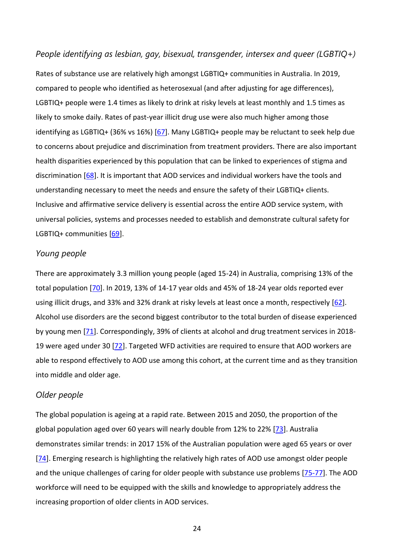#### <span id="page-30-0"></span>*People identifying as lesbian, gay, bisexual, transgender, intersex and queer (LGBTIQ+)*

Rates of substance use are relatively high amongst LGBTIQ+ communities in Australia. In 2019, compared to people who identified as heterosexual (and after adjusting for age differences), LGBTIQ+ people were 1.4 times as likely to drink at risky levels at least monthly and 1.5 times as likely to smoke daily. Rates of past-year illicit drug use were also much higher among those identifying as LGBTIQ+ (36% vs 16%) [\[67\]](#page-61-3). Many LGBTIQ+ people may be reluctant to seek help due to concerns about prejudice and discrimination from treatment providers. There are also important health disparities experienced by this population that can be linked to experiences of stigma and discrimination [\[68\]](#page-61-4). It is important that AOD services and individual workers have the tools and understanding necessary to meet the needs and ensure the safety of their LGBTIQ+ clients. Inclusive and affirmative service delivery is essential across the entire AOD service system, with universal policies, systems and processes needed to establish and demonstrate cultural safety for LGBTIQ+ communities [\[69\]](#page-61-5).

#### <span id="page-30-1"></span>*Young people*

There are approximately 3.3 million young people (aged 15-24) in Australia, comprising 13% of the total population [\[70\]](#page-61-6). In 2019, 13% of 14-17 year olds and 45% of 18-24 year olds reported ever using illicit drugs, and 33% and 32% drank at risky levels at least once a month, respectively [\[62\]](#page-60-13). Alcohol use disorders are the second biggest contributor to the total burden of disease experienced by young men [\[71\]](#page-61-7). Correspondingly, 39% of clients at alcohol and drug treatment services in 2018- 19 were aged under 30 [\[72\]](#page-61-8). Targeted WFD activities are required to ensure that AOD workers are able to respond effectively to AOD use among this cohort, at the current time and as they transition into middle and older age.

#### <span id="page-30-2"></span>*Older people*

The global population is ageing at a rapid rate. Between 2015 and 2050, the proportion of the global population aged over 60 years will nearly double from 12% to 22% [\[73\]](#page-61-9). Australia demonstrates similar trends: in 2017 15% of the Australian population were aged 65 years or over [\[74\]](#page-61-10). Emerging research is highlighting the relatively high rates of AOD use amongst older people and the unique challenges of caring for older people with substance use problems [\[75-77\]](#page-61-11). The AOD workforce will need to be equipped with the skills and knowledge to appropriately address the increasing proportion of older clients in AOD services.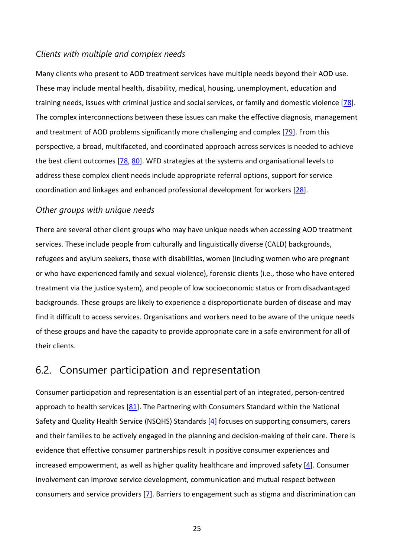#### <span id="page-31-0"></span>*Clients with multiple and complex needs*

Many clients who present to AOD treatment services have multiple needs beyond their AOD use. These may include mental health, disability, medical, housing, unemployment, education and training needs, issues with criminal justice and social services, or family and domestic violence [\[78\]](#page-61-12). The complex interconnections between these issues can make the effective diagnosis, management and treatment of AOD problems significantly more challenging and complex [\[79\]](#page-61-13). From this perspective, a broad, multifaceted, and coordinated approach across services is needed to achieve the best client outcomes [\[78,](#page-61-12) [80\]](#page-61-14). WFD strategies at the systems and organisational levels to address these complex client needs include appropriate referral options, support for service coordination and linkages and enhanced professional development for workers [\[28\]](#page-58-14).

#### <span id="page-31-1"></span>*Other groups with unique needs*

There are several other client groups who may have unique needs when accessing AOD treatment services. These include people from culturally and linguistically diverse (CALD) backgrounds, refugees and asylum seekers, those with disabilities, women (including women who are pregnant or who have experienced family and sexual violence), forensic clients (i.e., those who have entered treatment via the justice system), and people of low socioeconomic status or from disadvantaged backgrounds. These groups are likely to experience a disproportionate burden of disease and may find it difficult to access services. Organisations and workers need to be aware of the unique needs of these groups and have the capacity to provide appropriate care in a safe environment for all of their clients.

## <span id="page-31-2"></span>6.2. Consumer participation and representation

Consumer participation and representation is an essential part of an integrated, person-centred approach to health services  $[81]$ . The Partnering with Consumers Standard within the National Safety and Quality Health Service (NSQHS) Standards [\[4\]](#page-57-4) focuses on supporting consumers, carers and their families to be actively engaged in the planning and decision-making of their care. There is evidence that effective consumer partnerships result in positive consumer experiences and increased empowerment, as well as higher quality healthcare and improved safety [\[4\]](#page-57-4). Consumer involvement can improve service development, communication and mutual respect between consumers and service providers [\[7\]](#page-57-7). Barriers to engagement such as stigma and discrimination can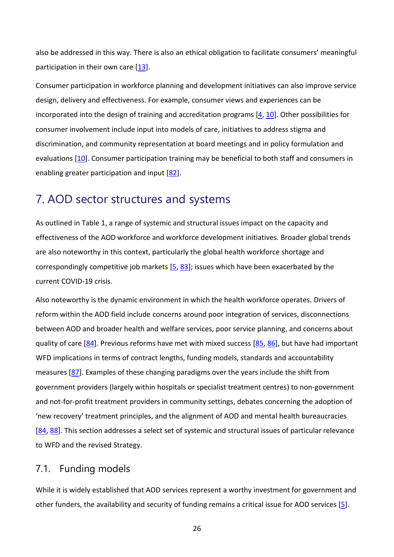also be addressed in this way. There is also an ethical obligation to facilitate consumers' meaningful participation in their own care  $[13]$ .

Consumer participation in workforce planning and development initiatives can also improve service design, delivery and effectiveness. For example, consumer views and experiences can be incorporated into the design of training and accreditation programs [\[4,](#page-57-4) [10\]](#page-57-10). Other possibilities for consumer involvement include input into models of care, initiatives to address stigma and discrimination, and community representation at board meetings and in policy formulation and evaluations [\[10\]](#page-57-10). Consumer participation training may be beneficial to both staff and consumers in enabling greater participation and input [\[82\]](#page-62-1).

## <span id="page-32-0"></span>7. AOD sector structures and systems

As outlined in [Table 1,](#page-12-0) a range of systemic and structural issues impact on the capacity and effectiveness of the AOD workforce and workforce development initiatives. Broader global trends are also noteworthy in this context, particularly the global health workforce shortage and correspondingly competitive job markets  $[5, 83]$  $[5, 83]$ ; issues which have been exacerbated by the current COVID-19 crisis.

Also noteworthy is the dynamic environment in which the health workforce operates. Drivers of reform within the AOD field include concerns around poor integration of services, disconnections between AOD and broader health and welfare services, poor service planning, and concerns about quality of care [\[84\]](#page-62-3). Previous reforms have met with mixed success [\[85,](#page-62-4) [86\]](#page-62-5), but have had important WFD implications in terms of contract lengths, funding models, standards and accountability measures [\[87\]](#page-62-6). Examples of these changing paradigms over the years include the shift from government providers (largely within hospitals or specialist treatment centres) to non-government and not-for-profit treatment providers in community settings, debates concerning the adoption of 'new recovery' treatment principles, and the alignment of AOD and mental health bureaucracies [\[84,](#page-62-3) [88\]](#page-62-7). This section addresses a select set of systemic and structural issues of particular relevance to WFD and the revised Strategy.

## <span id="page-32-1"></span>7.1. Funding models

While it is widely established that AOD services represent a worthy investment for government and other funders, the availability and security of funding remains a critical issue for AOD services [\[5\]](#page-57-5).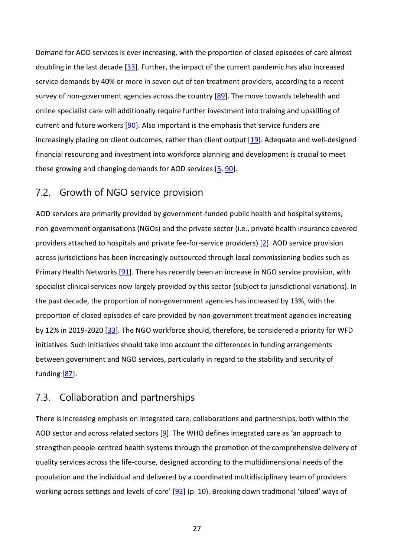Demand for AOD services is ever increasing, with the proportion of closed episodes of care almost doubling in the last decade [\[33\]](#page-59-2). Further, the impact of the current pandemic has also increased service demands by 40% or more in seven out of ten treatment providers, according to a recent survey of non-government agencies across the country [\[89\]](#page-62-8). The move towards telehealth and online specialist care will additionally require further investment into training and upskilling of current and future workers [\[90\]](#page-62-9). Also important is the emphasis that service funders are increasingly placing on client outcomes, rather than client output [\[19\]](#page-58-5). Adequate and well-designed financial resourcing and investment into workforce planning and development is crucial to meet these growing and changing demands for AOD services [\[5,](#page-57-5) [90\]](#page-62-9).

### <span id="page-33-0"></span>7.2. Growth of NGO service provision

AOD services are primarily provided by government-funded public health and hospital systems, non-government organisations (NGOs) and the private sector (i.e., private health insurance covered providers attached to hospitals and private fee-for-service providers) [\[2\]](#page-57-2). AOD service provision across jurisdictions has been increasingly outsourced through local commissioning bodies such as Primary Health Networks [\[91\]](#page-62-10). There has recently been an increase in NGO service provision, with specialist clinical services now largely provided by this sector (subject to jurisdictional variations). In the past decade, the proportion of non-government agencies has increased by 13%, with the proportion of closed episodes of care provided by non-government treatment agencies increasing by 12% in 2019-2020 [\[33\]](#page-59-2). The NGO workforce should, therefore, be considered a priority for WFD initiatives. Such initiatives should take into account the differences in funding arrangements between government and NGO services, particularly in regard to the stability and security of funding [\[87\]](#page-62-6).

## <span id="page-33-1"></span>7.3. Collaboration and partnerships

There is increasing emphasis on integrated care, collaborations and partnerships, both within the AOD sector and across related sectors [\[9\]](#page-57-11). The WHO defines integrated care as 'an approach to strengthen people-centred health systems through the promotion of the comprehensive delivery of quality services across the life-course, designed according to the multidimensional needs of the population and the individual and delivered by a coordinated multidisciplinary team of providers working across settings and levels of care' [\[92\]](#page-62-11) (p. 10). Breaking down traditional 'siloed' ways of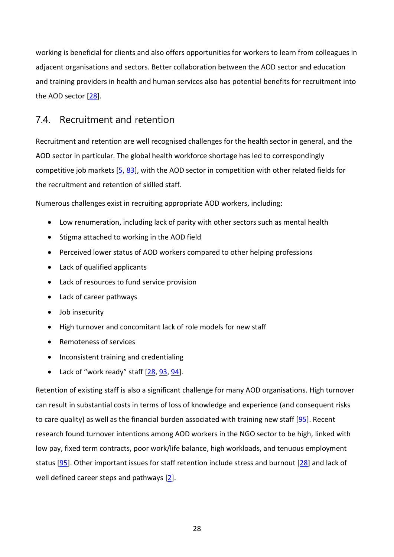working is beneficial for clients and also offers opportunities for workers to learn from colleagues in adjacent organisations and sectors. Better collaboration between the AOD sector and education and training providers in health and human services also has potential benefits for recruitment into the AOD sector [\[28\]](#page-58-14).

## <span id="page-34-0"></span>7.4. Recruitment and retention

Recruitment and retention are well recognised challenges for the health sector in general, and the AOD sector in particular. The global health workforce shortage has led to correspondingly competitive job markets [\[5,](#page-57-5) [83\]](#page-62-2), with the AOD sector in competition with other related fields for the recruitment and retention of skilled staff.

Numerous challenges exist in recruiting appropriate AOD workers, including:

- Low renumeration, including lack of parity with other sectors such as mental health
- Stigma attached to working in the AOD field
- Perceived lower status of AOD workers compared to other helping professions
- Lack of qualified applicants
- Lack of resources to fund service provision
- Lack of career pathways
- Job insecurity
- High turnover and concomitant lack of role models for new staff
- Remoteness of services
- Inconsistent training and credentialing
- Lack of "work ready" staff  $[28, 93, 94]$  $[28, 93, 94]$  $[28, 93, 94]$ .

Retention of existing staff is also a significant challenge for many AOD organisations. High turnover can result in substantial costs in terms of loss of knowledge and experience (and consequent risks to care quality) as well as the financial burden associated with training new staff [\[95\]](#page-62-14). Recent research found turnover intentions among AOD workers in the NGO sector to be high, linked with low pay, fixed term contracts, poor work/life balance, high workloads, and tenuous employment status [\[95\]](#page-62-14). Other important issues for staff retention include stress and burnout [\[28\]](#page-58-14) and lack of well defined career steps and pathways [\[2\]](#page-57-2).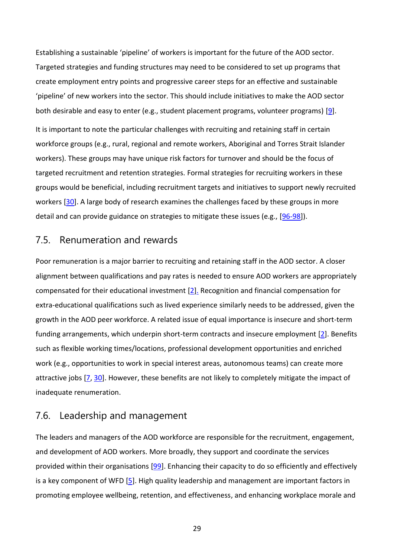Establishing a sustainable 'pipeline' of workers is important for the future of the AOD sector. Targeted strategies and funding structures may need to be considered to set up programs that create employment entry points and progressive career steps for an effective and sustainable 'pipeline' of new workers into the sector. This should include initiatives to make the AOD sector both desirable and easy to enter (e.g., student placement programs, volunteer programs) [\[9\]](#page-57-11).

It is important to note the particular challenges with recruiting and retaining staff in certain workforce groups (e.g., rural, regional and remote workers, Aboriginal and Torres Strait Islander workers). These groups may have unique risk factors for turnover and should be the focus of targeted recruitment and retention strategies. Formal strategies for recruiting workers in these groups would be beneficial, including recruitment targets and initiatives to support newly recruited workers [\[30\]](#page-58-16). A large body of research examines the challenges faced by these groups in more detail and can provide guidance on strategies to mitigate these issues (e.g., [\[96-98\]](#page-63-0)).

#### <span id="page-35-0"></span>7.5. Renumeration and rewards

Poor remuneration is a major barrier to recruiting and retaining staff in the AOD sector. A closer alignment between qualifications and pay rates is needed to ensure AOD workers are appropriately compensated for their educational investment [\[2\]](#page-57-2). Recognition and financial compensation for extra-educational qualifications such as lived experience similarly needs to be addressed, given the growth in the AOD peer workforce. A related issue of equal importance is insecure and short-term funding arrangements, which underpin short-term contracts and insecure employment [\[2\]](#page-57-2). Benefits such as flexible working times/locations, professional development opportunities and enriched work (e.g., opportunities to work in special interest areas, autonomous teams) can create more attractive jobs [\[7,](#page-57-7) [30\]](#page-58-16). However, these benefits are not likely to completely mitigate the impact of inadequate renumeration.

#### <span id="page-35-1"></span>7.6. Leadership and management

The leaders and managers of the AOD workforce are responsible for the recruitment, engagement, and development of AOD workers. More broadly, they support and coordinate the services provided within their organisations [\[99\]](#page-63-1). Enhancing their capacity to do so efficiently and effectively is a key component of WFD [\[5\]](#page-57-5). High quality leadership and management are important factors in promoting employee wellbeing, retention, and effectiveness, and enhancing workplace morale and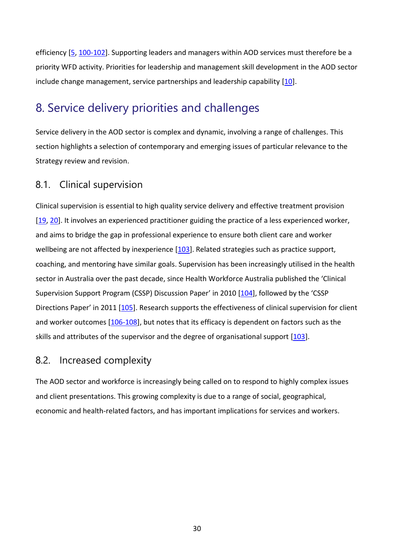efficiency [\[5,](#page-57-5) [100-102\]](#page-63-2). Supporting leaders and managers within AOD services must therefore be a priority WFD activity. Priorities for leadership and management skill development in the AOD sector include change management, service partnerships and leadership capability [\[10\]](#page-57-10).

## <span id="page-36-0"></span>8. Service delivery priorities and challenges

Service delivery in the AOD sector is complex and dynamic, involving a range of challenges. This section highlights a selection of contemporary and emerging issues of particular relevance to the Strategy review and revision.

### <span id="page-36-1"></span>8.1. Clinical supervision

Clinical supervision is essential to high quality service delivery and effective treatment provision [\[19,](#page-58-5) [20\]](#page-58-6). It involves an experienced practitioner guiding the practice of a less experienced worker, and aims to bridge the gap in professional experience to ensure both client care and worker wellbeing are not affected by inexperience [\[103\]](#page-63-3). Related strategies such as practice support, coaching, and mentoring have similar goals. Supervision has been increasingly utilised in the health sector in Australia over the past decade, since Health Workforce Australia published the 'Clinical Supervision Support Program (CSSP) Discussion Paper' in 2010 [\[104\]](#page-63-4), followed by the 'CSSP Directions Paper' in 2011 [\[105\]](#page-63-5). Research supports the effectiveness of clinical supervision for client and worker outcomes [\[106-108\]](#page-63-6), but notes that its efficacy is dependent on factors such as the skills and attributes of the supervisor and the degree of organisational support [\[103\]](#page-63-3).

## <span id="page-36-2"></span>8.2. Increased complexity

The AOD sector and workforce is increasingly being called on to respond to highly complex issues and client presentations. This growing complexity is due to a range of social, geographical, economic and health-related factors, and has important implications for services and workers.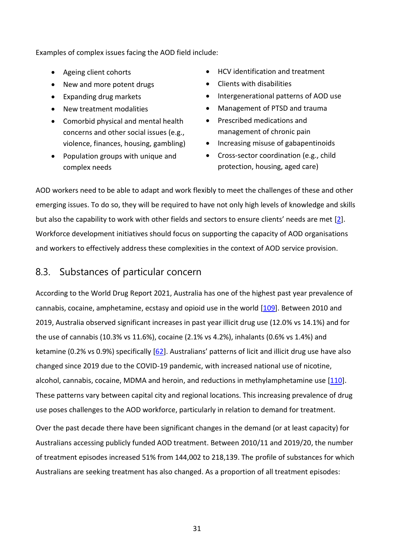Examples of complex issues facing the AOD field include:

- 
- New and more potent drugs Clients with disabilities
- 
- 
- Comorbid physical and mental health concerns and other social issues (e.g., violence, finances, housing, gambling)
- Population groups with unique and complex needs
- Ageing client cohorts HCV identification and treatment
	-
- Expanding drug markets Intergenerational patterns of AOD use
- New treatment modalities Management of PTSD and trauma
	- Prescribed medications and management of chronic pain
	- Increasing misuse of gabapentinoids
	- Cross-sector coordination (e.g., child protection, housing, aged care)

AOD workers need to be able to adapt and work flexibly to meet the challenges of these and other emerging issues. To do so, they will be required to have not only high levels of knowledge and skills but also the capability to work with other fields and sectors to ensure clients' needs are met [\[2\]](#page-57-2). Workforce development initiatives should focus on supporting the capacity of AOD organisations and workers to effectively address these complexities in the context of AOD service provision.

## <span id="page-37-0"></span>8.3. Substances of particular concern

According to the World Drug Report 2021, Australia has one of the highest past year prevalence of cannabis, cocaine, amphetamine, ecstasy and opioid use in the world [\[109\]](#page-63-7). Between 2010 and 2019, Australia observed significant increases in past year illicit drug use (12.0% vs 14.1%) and for the use of cannabis (10.3% vs 11.6%), cocaine (2.1% vs 4.2%), inhalants (0.6% vs 1.4%) and ketamine (0.2% vs 0.9%) specifically [\[62\]](#page-60-13). Australians' patterns of licit and illicit drug use have also changed since 2019 due to the COVID-19 pandemic, with increased national use of nicotine, alcohol, cannabis, cocaine, MDMA and heroin, and reductions in methylamphetamine use [\[110\]](#page-63-8). These patterns vary between capital city and regional locations. This increasing prevalence of drug use poses challenges to the AOD workforce, particularly in relation to demand for treatment.

Over the past decade there have been significant changes in the demand (or at least capacity) for Australians accessing publicly funded AOD treatment. Between 2010/11 and 2019/20, the number of treatment episodes increased 51% from 144,002 to 218,139. The profile of substances for which Australians are seeking treatment has also changed. As a proportion of all treatment episodes: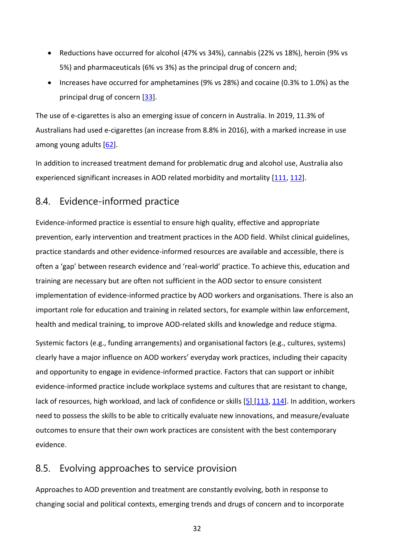- Reductions have occurred for alcohol (47% vs 34%), cannabis (22% vs 18%), heroin (9% vs 5%) and pharmaceuticals (6% vs 3%) as the principal drug of concern and;
- Increases have occurred for amphetamines (9% vs 28%) and cocaine (0.3% to 1.0%) as the principal drug of concern [\[33\]](#page-59-2).

The use of e-cigarettes is also an emerging issue of concern in Australia. In 2019, 11.3% of Australians had used e-cigarettes (an increase from 8.8% in 2016), with a marked increase in use among young adults [\[62\]](#page-60-13).

In addition to increased treatment demand for problematic drug and alcohol use, Australia also experienced significant increases in AOD related morbidity and mortality [\[111,](#page-63-9) [112\]](#page-64-0).

## <span id="page-38-0"></span>8.4. Evidence-informed practice

Evidence-informed practice is essential to ensure high quality, effective and appropriate prevention, early intervention and treatment practices in the AOD field. Whilst clinical guidelines, practice standards and other evidence-informed resources are available and accessible, there is often a 'gap' between research evidence and 'real-world' practice. To achieve this, education and training are necessary but are often not sufficient in the AOD sector to ensure consistent implementation of evidence-informed practice by AOD workers and organisations. There is also an important role for education and training in related sectors, for example within law enforcement, health and medical training, to improve AOD-related skills and knowledge and reduce stigma.

Systemic factors (e.g., funding arrangements) and organisational factors (e.g., cultures, systems) clearly have a major influence on AOD workers' everyday work practices, including their capacity and opportunity to engage in evidence-informed practice. Factors that can support or inhibit evidence-informed practice include workplace systems and cultures that are resistant to change, lack of resources, high workload, and lack of confidence or skills [\[5\]](#page-57-5) [\[113,](#page-64-1) [114\]](#page-64-2). In addition, workers need to possess the skills to be able to critically evaluate new innovations, and measure/evaluate outcomes to ensure that their own work practices are consistent with the best contemporary evidence.

## <span id="page-38-1"></span>8.5. Evolving approaches to service provision

Approaches to AOD prevention and treatment are constantly evolving, both in response to changing social and political contexts, emerging trends and drugs of concern and to incorporate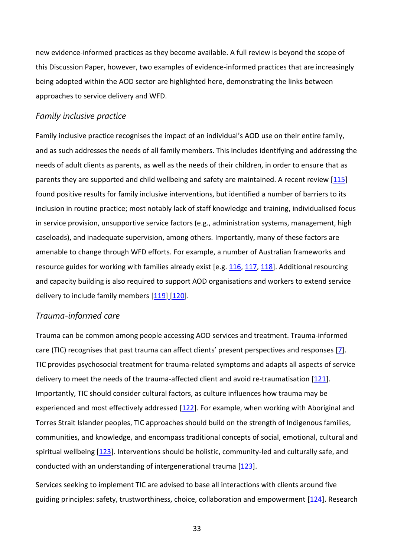new evidence-informed practices as they become available. A full review is beyond the scope of this Discussion Paper, however, two examples of evidence-informed practices that are increasingly being adopted within the AOD sector are highlighted here, demonstrating the links between approaches to service delivery and WFD.

#### <span id="page-39-0"></span>*Family inclusive practice*

Family inclusive practice recognises the impact of an individual's AOD use on their entire family, and as such addresses the needs of all family members. This includes identifying and addressing the needs of adult clients as parents, as well as the needs of their children, in order to ensure that as parents they are supported and child wellbeing and safety are maintained. A recent review [\[115\]](#page-64-3) found positive results for family inclusive interventions, but identified a number of barriers to its inclusion in routine practice; most notably lack of staff knowledge and training, individualised focus in service provision, unsupportive service factors (e.g., administration systems, management, high caseloads), and inadequate supervision, among others. Importantly, many of these factors are amenable to change through WFD efforts. For example, a number of Australian frameworks and resource guides for working with families already exist [e.g. [116,](#page-64-4) [117,](#page-64-5) [118\]](#page-64-6). Additional resourcing and capacity building is also required to support AOD organisations and workers to extend service delivery to include family members [\[119\]](#page-64-7) [\[120\]](#page-64-8).

#### <span id="page-39-1"></span>*Trauma-informed care*

Trauma can be common among people accessing AOD services and treatment. Trauma-informed care (TIC) recognises that past trauma can affect clients' present perspectives and responses [\[7\]](#page-57-7). TIC provides psychosocial treatment for trauma-related symptoms and adapts all aspects of service delivery to meet the needs of the trauma-affected client and avoid re-traumatisation [\[121\]](#page-64-9). Importantly, TIC should consider cultural factors, as culture influences how trauma may be experienced and most effectively addressed [\[122\]](#page-64-10). For example, when working with Aboriginal and Torres Strait Islander peoples, TIC approaches should build on the strength of Indigenous families, communities, and knowledge, and encompass traditional concepts of social, emotional, cultural and spiritual wellbeing [\[123\]](#page-64-11). Interventions should be holistic, community-led and culturally safe, and conducted with an understanding of intergenerational trauma [\[123\]](#page-64-11).

Services seeking to implement TIC are advised to base all interactions with clients around five guiding principles: safety, trustworthiness, choice, collaboration and empowerment [\[124\]](#page-64-12). Research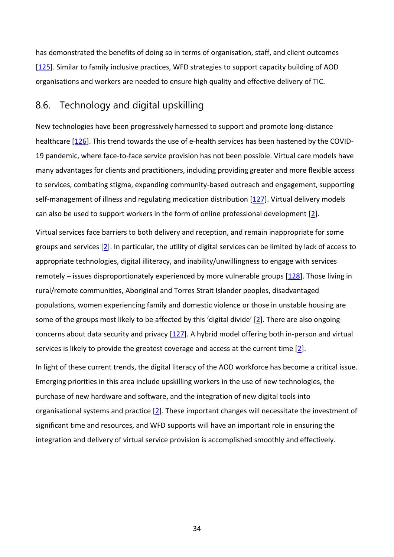has demonstrated the benefits of doing so in terms of organisation, staff, and client outcomes [\[125\]](#page-64-13). Similar to family inclusive practices, WFD strategies to support capacity building of AOD organisations and workers are needed to ensure high quality and effective delivery of TIC.

### <span id="page-40-0"></span>8.6. Technology and digital upskilling

New technologies have been progressively harnessed to support and promote long-distance healthcare [\[126\]](#page-64-14). This trend towards the use of e-health services has been hastened by the COVID-19 pandemic, where face-to-face service provision has not been possible. Virtual care models have many advantages for clients and practitioners, including providing greater and more flexible access to services, combating stigma, expanding community-based outreach and engagement, supporting self-management of illness and regulating medication distribution [\[127\]](#page-65-0). Virtual delivery models can also be used to support workers in the form of online professional development [\[2\]](#page-57-2).

Virtual services face barriers to both delivery and reception, and remain inappropriate for some groups and services [\[2\]](#page-57-2). In particular, the utility of digital services can be limited by lack of access to appropriate technologies, digital illiteracy, and inability/unwillingness to engage with services remotely – issues disproportionately experienced by more vulnerable groups [\[128\]](#page-65-1). Those living in rural/remote communities, Aboriginal and Torres Strait Islander peoples, disadvantaged populations, women experiencing family and domestic violence or those in unstable housing are some of the groups most likely to be affected by this 'digital divide' [\[2\]](#page-57-2). There are also ongoing concerns about data security and privacy [\[127\]](#page-65-0). A hybrid model offering both in-person and virtual services is likely to provide the greatest coverage and access at the current time [\[2\]](#page-57-2).

In light of these current trends, the digital literacy of the AOD workforce has become a critical issue. Emerging priorities in this area include upskilling workers in the use of new technologies, the purchase of new hardware and software, and the integration of new digital tools into organisational systems and practice [\[2\]](#page-57-2). These important changes will necessitate the investment of significant time and resources, and WFD supports will have an important role in ensuring the integration and delivery of virtual service provision is accomplished smoothly and effectively.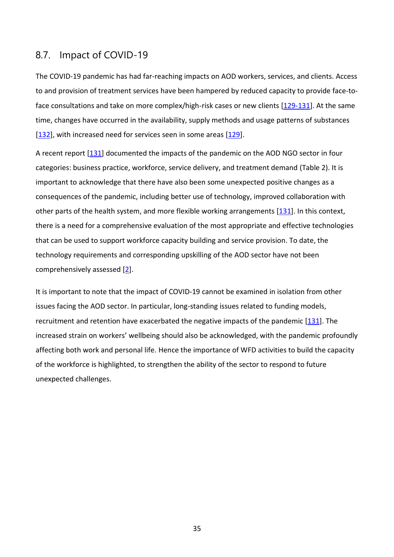#### <span id="page-41-0"></span>8.7. Impact of COVID-19

The COVID-19 pandemic has had far-reaching impacts on AOD workers, services, and clients. Access to and provision of treatment services have been hampered by reduced capacity to provide face-toface consultations and take on more complex/high-risk cases or new clients [\[129-131\]](#page-65-2). At the same time, changes have occurred in the availability, supply methods and usage patterns of substances [\[132\]](#page-65-3), with increased need for services seen in some areas [\[129\]](#page-65-2).

A recent report [\[131\]](#page-65-4) documented the impacts of the pandemic on the AOD NGO sector in four categories: business practice, workforce, service delivery, and treatment demand (Table 2). It is important to acknowledge that there have also been some unexpected positive changes as a consequences of the pandemic, including better use of technology, improved collaboration with other parts of the health system, and more flexible working arrangements [\[131\]](#page-65-4). In this context, there is a need for a comprehensive evaluation of the most appropriate and effective technologies that can be used to support workforce capacity building and service provision. To date, the technology requirements and corresponding upskilling of the AOD sector have not been comprehensively assessed [\[2\]](#page-57-2).

It is important to note that the impact of COVID-19 cannot be examined in isolation from other issues facing the AOD sector. In particular, long-standing issues related to funding models, recruitment and retention have exacerbated the negative impacts of the pandemic [\[131\]](#page-65-4). The increased strain on workers' wellbeing should also be acknowledged, with the pandemic profoundly affecting both work and personal life. Hence the importance of WFD activities to build the capacity of the workforce is highlighted, to strengthen the ability of the sector to respond to future unexpected challenges.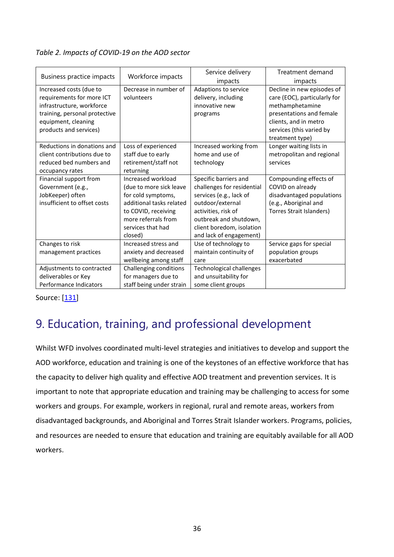#### *Table 2. Impacts of COVID-19 on the AOD sector*

|                               |                          | Service delivery                | Treatment demand             |
|-------------------------------|--------------------------|---------------------------------|------------------------------|
| Business practice impacts     | Workforce impacts        | impacts                         | impacts                      |
| Increased costs (due to       | Decrease in number of    | Adaptions to service            | Decline in new episodes of   |
| requirements for more ICT     | volunteers               | delivery, including             | care (EOC), particularly for |
| infrastructure, workforce     |                          | innovative new                  | methamphetamine              |
| training, personal protective |                          | programs                        | presentations and female     |
| equipment, cleaning           |                          |                                 | clients, and in metro        |
| products and services)        |                          |                                 | services (this varied by     |
|                               |                          |                                 | treatment type)              |
| Reductions in donations and   | Loss of experienced      | Increased working from          | Longer waiting lists in      |
| client contributions due to   | staff due to early       | home and use of                 | metropolitan and regional    |
| reduced bed numbers and       | retirement/staff not     | technology                      | services                     |
| occupancy rates               | returning                |                                 |                              |
| Financial support from        | Increased workload       | Specific barriers and           | Compounding effects of       |
| Government (e.g.,             | (due to more sick leave  | challenges for residential      | COVID on already             |
| JobKeeper) often              | for cold symptoms,       | services (e.g., lack of         | disadvantaged populations    |
| insufficient to offset costs  | additional tasks related | outdoor/external                | (e.g., Aboriginal and        |
|                               | to COVID, receiving      | activities, risk of             | Torres Strait Islanders)     |
|                               | more referrals from      | outbreak and shutdown,          |                              |
|                               | services that had        | client boredom, isolation       |                              |
|                               | closed)                  | and lack of engagement)         |                              |
| Changes to risk               | Increased stress and     | Use of technology to            | Service gaps for special     |
| management practices          | anxiety and decreased    | maintain continuity of          | population groups            |
|                               | wellbeing among staff    | care                            | exacerbated                  |
| Adjustments to contracted     | Challenging conditions   | <b>Technological challenges</b> |                              |
| deliverables or Key           | for managers due to      | and unsuitability for           |                              |
| Performance Indicators        | staff being under strain | some client groups              |                              |

Source: [\[131\]](#page-65-4)

# <span id="page-42-0"></span>9. Education, training, and professional development

Whilst WFD involves coordinated multi-level strategies and initiatives to develop and support the AOD workforce, education and training is one of the keystones of an effective workforce that has the capacity to deliver high quality and effective AOD treatment and prevention services. It is important to note that appropriate education and training may be challenging to access for some workers and groups. For example, workers in regional, rural and remote areas, workers from disadvantaged backgrounds, and Aboriginal and Torres Strait Islander workers. Programs, policies, and resources are needed to ensure that education and training are equitably available for all AOD workers.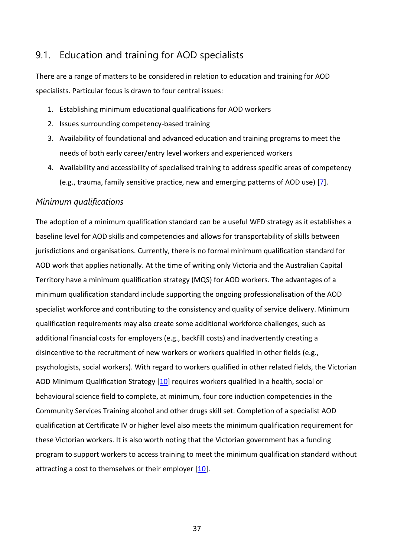## <span id="page-43-0"></span>9.1. Education and training for AOD specialists

There are a range of matters to be considered in relation to education and training for AOD specialists. Particular focus is drawn to four central issues:

- 1. Establishing minimum educational qualifications for AOD workers
- 2. Issues surrounding competency-based training
- 3. Availability of foundational and advanced education and training programs to meet the needs of both early career/entry level workers and experienced workers
- 4. Availability and accessibility of specialised training to address specific areas of competency (e.g., trauma, family sensitive practice, new and emerging patterns of AOD use) [\[7\]](#page-57-7).

#### <span id="page-43-1"></span>*Minimum qualifications*

The adoption of a minimum qualification standard can be a useful WFD strategy as it establishes a baseline level for AOD skills and competencies and allows for transportability of skills between jurisdictions and organisations. Currently, there is no formal minimum qualification standard for AOD work that applies nationally. At the time of writing only [Victoria](http://www.health.vic.gov.au/drugservices/downloads/min_qual_strat.pdf) and the Australian Capital Territory have a minimum qualification strategy (MQS) for AOD workers. The advantages of a minimum qualification standard include supporting the ongoing professionalisation of the AOD specialist workforce and contributing to the consistency and quality of service delivery. Minimum qualification requirements may also create some additional workforce challenges, such as additional financial costs for employers (e.g., backfill costs) and inadvertently creating a disincentive to the recruitment of new workers or workers qualified in other fields (e.g., psychologists, social workers). With regard to workers qualified in other related fields, the Victorian AOD Minimum Qualification Strategy [\[10\]](#page-57-10) requires workers qualified in a health, social or behavioural science field to complete, at minimum, four core induction competencies in the Community Services Training alcohol and other drugs skill set. Completion of a specialist AOD qualification at Certificate IV or higher level also meets the minimum qualification requirement for these Victorian workers. It is also worth noting that the Victorian government has a funding program to support workers to access training to meet the minimum qualification standard without attracting a cost to themselves or their employer [\[10\]](#page-57-10).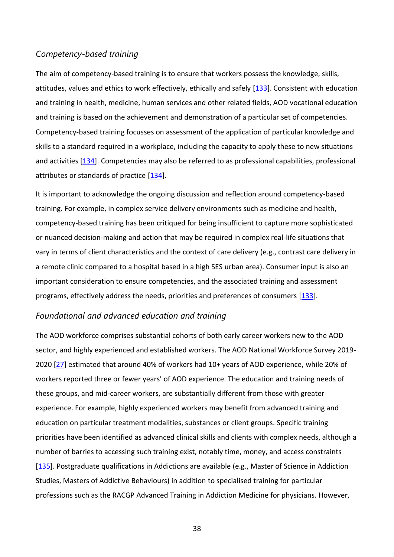#### <span id="page-44-0"></span>*Competency-based training*

The aim of competency-based training is to ensure that workers possess the knowledge, skills, attitudes, values and ethics to work effectively, ethically and safely [\[133\]](#page-65-5). Consistent with education and training in health, medicine, human services and other related fields, AOD vocational education and training is based on the achievement and demonstration of a particular set of competencies. Competency-based training focusses on assessment of the application of particular knowledge and skills to a standard required in a workplace, including the capacity to apply these to new situations and activities [\[134\]](#page-65-6). Competencies may also be referred to as professional capabilities, professional attributes or standards of practice  $[134]$ .

It is important to acknowledge the ongoing discussion and reflection around competency-based training. For example, in complex service delivery environments such as medicine and health, competency-based training has been critiqued for being insufficient to capture more sophisticated or nuanced decision-making and action that may be required in complex real-life situations that vary in terms of client characteristics and the context of care delivery (e.g., contrast care delivery in a remote clinic compared to a hospital based in a high SES urban area). Consumer input is also an important consideration to ensure competencies, and the associated training and assessment programs, effectively address the needs, priorities and preferences of consumers [\[133\]](#page-65-5).

#### <span id="page-44-1"></span>*Foundational and advanced education and training*

The AOD workforce comprises substantial cohorts of both early career workers new to the AOD sector, and highly experienced and established workers. The AOD National Workforce Survey 2019- 2020 [\[27\]](#page-58-13) estimated that around 40% of workers had 10+ years of AOD experience, while 20% of workers reported three or fewer years' of AOD experience. The education and training needs of these groups, and mid-career workers, are substantially different from those with greater experience. For example, highly experienced workers may benefit from advanced training and education on particular treatment modalities, substances or client groups. Specific training priorities have been identified as advanced clinical skills and clients with complex needs, although a number of barries to accessing such training exist, notably time, money, and access constraints [\[135\]](#page-65-7). Postgraduate qualifications in Addictions are available (e.g., Master of Science in Addiction Studies, Masters of Addictive Behaviours) in addition to specialised training for particular professions such as the RACGP Advanced Training in Addiction Medicine for physicians. However,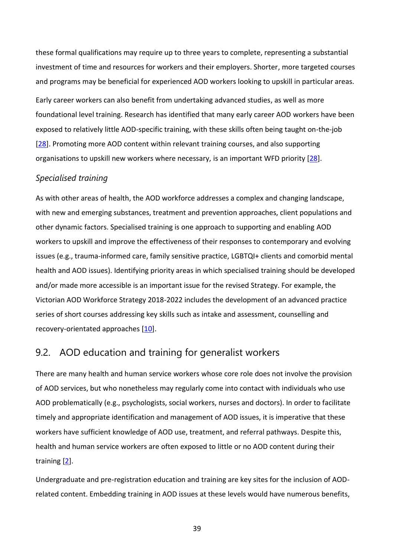these formal qualifications may require up to three years to complete, representing a substantial investment of time and resources for workers and their employers. Shorter, more targeted courses and programs may be beneficial for experienced AOD workers looking to upskill in particular areas. Early career workers can also benefit from undertaking advanced studies, as well as more foundational level training. Research has identified that many early career AOD workers have been exposed to relatively little AOD-specific training, with these skills often being taught on-the-job [\[28\]](#page-58-14). Promoting more AOD content within relevant training courses, and also supporting organisations to upskill new workers where necessary, is an important WFD priority [\[28\]](#page-58-14).

#### <span id="page-45-0"></span>*Specialised training*

As with other areas of health, the AOD workforce addresses a complex and changing landscape, with new and emerging substances, treatment and prevention approaches, client populations and other dynamic factors. Specialised training is one approach to supporting and enabling AOD workers to upskill and improve the effectiveness of their responses to contemporary and evolving issues (e.g., trauma-informed care, family sensitive practice, LGBTQI+ clients and comorbid mental health and AOD issues). Identifying priority areas in which specialised training should be developed and/or made more accessible is an important issue for the revised Strategy. For example, the Victorian AOD Workforce Strategy 2018-2022 includes the development of an advanced practice series of short courses addressing key skills such as intake and assessment, counselling and recovery-orientated approaches [\[10\]](#page-57-10).

## <span id="page-45-1"></span>9.2. AOD education and training for generalist workers

There are many health and human service workers whose core role does not involve the provision of AOD services, but who nonetheless may regularly come into contact with individuals who use AOD problematically (e.g., psychologists, social workers, nurses and doctors). In order to facilitate timely and appropriate identification and management of AOD issues, it is imperative that these workers have sufficient knowledge of AOD use, treatment, and referral pathways. Despite this, health and human service workers are often exposed to little or no AOD content during their training [\[2\]](#page-57-2).

Undergraduate and pre-registration education and training are key sites for the inclusion of AODrelated content. Embedding training in AOD issues at these levels would have numerous benefits,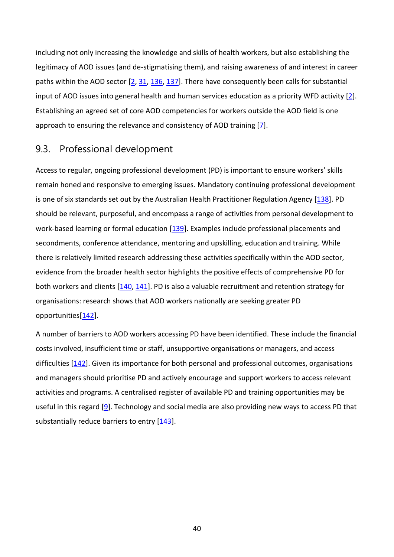including not only increasing the knowledge and skills of health workers, but also establishing the legitimacy of AOD issues (and de-stigmatising them), and raising awareness of and interest in career paths within the AOD sector [\[2,](#page-57-2) [31,](#page-59-0) [136,](#page-65-8) [137\]](#page-65-9). There have consequently been calls for substantial input of AOD issues into general health and human services education as a priority WFD activity [\[2\]](#page-57-2). Establishing an agreed set of core AOD competencies for workers outside the AOD field is one approach to ensuring the relevance and consistency of AOD training [\[7\]](#page-57-7).

### <span id="page-46-0"></span>9.3. Professional development

Access to regular, ongoing professional development (PD) is important to ensure workers' skills remain honed and responsive to emerging issues. Mandatory continuing professional development is one of six standards set out by the Australian Health Practitioner Regulation Agency [\[138\]](#page-65-10). PD should be relevant, purposeful, and encompass a range of activities from personal development to work-based learning or formal education [\[139\]](#page-65-11). Examples include professional placements and secondments, conference attendance, mentoring and upskilling, education and training. While there is relatively limited research addressing these activities specifically within the AOD sector, evidence from the broader health sector highlights the positive effects of comprehensive PD for both workers and clients [\[140,](#page-65-12) [141\]](#page-65-13). PD is also a valuable recruitment and retention strategy for organisations: research shows that AOD workers nationally are seeking greater PD opportunities[\[142\]](#page-65-14).

A number of barriers to AOD workers accessing PD have been identified. These include the financial costs involved, insufficient time or staff, unsupportive organisations or managers, and access difficulties [\[142\]](#page-65-14). Given its importance for both personal and professional outcomes, organisations and managers should prioritise PD and actively encourage and support workers to access relevant activities and programs. A centralised register of available PD and training opportunities may be useful in this regard [\[9\]](#page-57-11). Technology and social media are also providing new ways to access PD that substantially reduce barriers to entry  $[143]$ .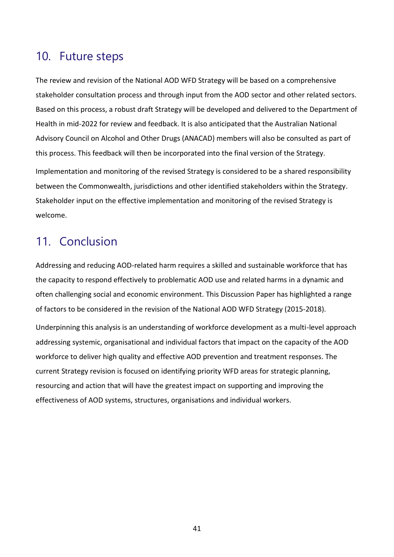## <span id="page-47-1"></span>10. Future steps

The review and revision of the National AOD WFD Strategy will be based on a comprehensive stakeholder consultation process and through input from the AOD sector and other related sectors. Based on this process, a robust draft Strategy will be developed and delivered to the Department of Health in mid-2022 for review and feedback. It is also anticipated that the Australian National Advisory Council on Alcohol and Other Drugs (ANACAD) members will also be consulted as part of this process. This feedback will then be incorporated into the final version of the Strategy. Implementation and monitoring of the revised Strategy is considered to be a shared responsibility between the Commonwealth, jurisdictions and other identified stakeholders within the Strategy. Stakeholder input on the effective implementation and monitoring of the revised Strategy is welcome.

## <span id="page-47-2"></span>11. Conclusion

Addressing and reducing AOD-related harm requires a skilled and sustainable workforce that has the capacity to respond effectively to problematic AOD use and related harms in a dynamic and often challenging social and economic environment. This Discussion Paper has highlighted a range of factors to be considered in the revision of the National AOD WFD Strategy (2015-2018).

<span id="page-47-0"></span>Underpinning this analysis is an understanding of workforce development as a multi-level approach addressing systemic, organisational and individual factors that impact on the capacity of the AOD workforce to deliver high quality and effective AOD prevention and treatment responses. The current Strategy revision is focused on identifying priority WFD areas for strategic planning, resourcing and action that will have the greatest impact on supporting and improving the effectiveness of AOD systems, structures, organisations and individual workers.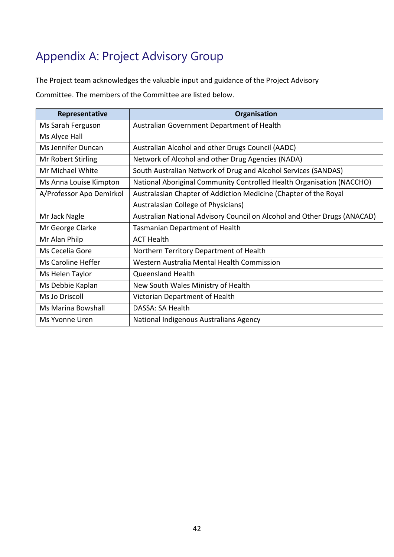# <span id="page-48-0"></span>Appendix A: Project Advisory Group

The Project team acknowledges the valuable input and guidance of the Project Advisory

Committee. The members of the Committee are listed below.

| Representative           | Organisation                                                             |
|--------------------------|--------------------------------------------------------------------------|
| Ms Sarah Ferguson        | Australian Government Department of Health                               |
| Ms Alyce Hall            |                                                                          |
| Ms Jennifer Duncan       | Australian Alcohol and other Drugs Council (AADC)                        |
| Mr Robert Stirling       | Network of Alcohol and other Drug Agencies (NADA)                        |
| Mr Michael White         | South Australian Network of Drug and Alcohol Services (SANDAS)           |
| Ms Anna Louise Kimpton   | National Aboriginal Community Controlled Health Organisation (NACCHO)    |
| A/Professor Apo Demirkol | Australasian Chapter of Addiction Medicine (Chapter of the Royal         |
|                          | Australasian College of Physicians)                                      |
| Mr Jack Nagle            | Australian National Advisory Council on Alcohol and Other Drugs (ANACAD) |
| Mr George Clarke         | <b>Tasmanian Department of Health</b>                                    |
| Mr Alan Philp            | <b>ACT Health</b>                                                        |
| Ms Cecelia Gore          | Northern Territory Department of Health                                  |
| Ms Caroline Heffer       | Western Australia Mental Health Commission                               |
| Ms Helen Taylor          | Queensland Health                                                        |
| Ms Debbie Kaplan         | New South Wales Ministry of Health                                       |
| Ms Jo Driscoll           | Victorian Department of Health                                           |
| Ms Marina Bowshall       | DASSA: SA Health                                                         |
| Ms Yvonne Uren           | National Indigenous Australians Agency                                   |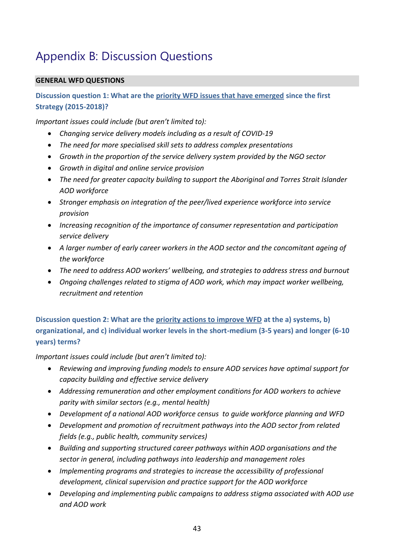# <span id="page-49-0"></span>Appendix B: Discussion Questions

#### **GENERAL WFD QUESTIONS**

**Discussion question 1: What are the priority WFD issues that have emerged since the first Strategy (2015-2018)?**

*Important issues could include (but aren't limited to):*

- *Changing service delivery models including as a result of COVID-19*
- *The need for more specialised skill sets to address complex presentations*
- *Growth in the proportion of the service delivery system provided by the NGO sector*
- *Growth in digital and online service provision*
- *The need for greater capacity building to support the Aboriginal and Torres Strait Islander AOD workforce*
- *Stronger emphasis on integration of the peer/lived experience workforce into service provision*
- *Increasing recognition of the importance of consumer representation and participation service delivery*
- *A larger number of early career workers in the AOD sector and the concomitant ageing of the workforce*
- *The need to address AOD workers' wellbeing, and strategies to address stress and burnout*
- *Ongoing challenges related to stigma of AOD work, which may impact worker wellbeing, recruitment and retention*

**Discussion question 2: What are the priority actions to improve WFD at the a) systems, b) organizational, and c) individual worker levels in the short-medium (3-5 years) and longer (6-10 years) terms?**

- *Reviewing and improving funding models to ensure AOD services have optimal support for capacity building and effective service delivery*
- *Addressing remuneration and other employment conditions for AOD workers to achieve parity with similar sectors (e.g., mental health)*
- *Development of a national AOD workforce census to guide workforce planning and WFD*
- *Development and promotion of recruitment pathways into the AOD sector from related fields (e.g., public health, community services)*
- *Building and supporting structured career pathways within AOD organisations and the sector in general, including pathways into leadership and management roles*
- *Implementing programs and strategies to increase the accessibility of professional development, clinical supervision and practice support for the AOD workforce*
- *Developing and implementing public campaigns to address stigma associated with AOD use and AOD work*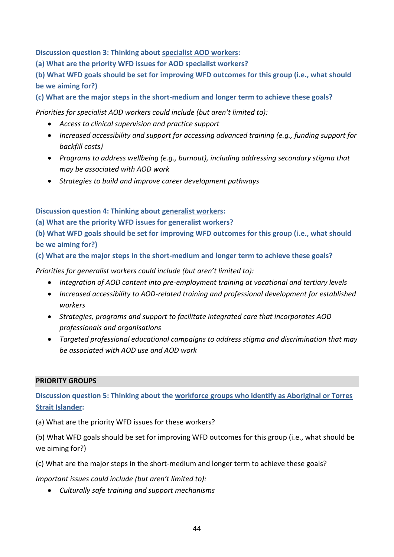**Discussion question 3: Thinking about specialist AOD workers:** 

**(a) What are the priority WFD issues for AOD specialist workers?** 

**(b) What WFD goals should be set for improving WFD outcomes for this group (i.e., what should be we aiming for?)** 

**(c) What are the major steps in the short-medium and longer term to achieve these goals?**

*Priorities for specialist AOD workers could include (but aren't limited to):*

- *Access to clinical supervision and practice support*
- *Increased accessibility and support for accessing advanced training (e.g., funding support for backfill costs)*
- *Programs to address wellbeing (e.g., burnout), including addressing secondary stigma that may be associated with AOD work*
- *Strategies to build and improve career development pathways*

**Discussion question 4: Thinking about generalist workers:** 

**(a) What are the priority WFD issues for generalist workers?** 

**(b) What WFD goals should be set for improving WFD outcomes for this group (i.e., what should be we aiming for?)** 

**(c) What are the major steps in the short-medium and longer term to achieve these goals?**

*Priorities for generalist workers could include (but aren't limited to):*

- *Integration of AOD content into pre-employment training at vocational and tertiary levels*
- *Increased accessibility to AOD-related training and professional development for established workers*
- *Strategies, programs and support to facilitate integrated care that incorporates AOD professionals and organisations*
- *Targeted professional educational campaigns to address stigma and discrimination that may be associated with AOD use and AOD work*

#### **PRIORITY GROUPS**

**Discussion question 5: Thinking about the workforce groups who identify as Aboriginal or Torres Strait Islander:**

(a) What are the priority WFD issues for these workers?

(b) What WFD goals should be set for improving WFD outcomes for this group (i.e., what should be we aiming for?)

(c) What are the major steps in the short-medium and longer term to achieve these goals?

*Important issues could include (but aren't limited to):*

• *Culturally safe training and support mechanisms*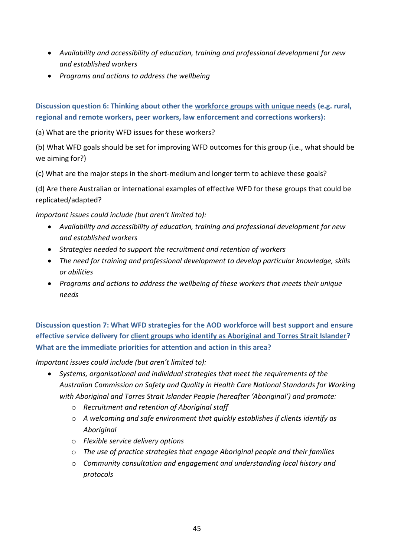- *Availability and accessibility of education, training and professional development for new and established workers*
- *Programs and actions to address the wellbeing*

**Discussion question 6: Thinking about other the workforce groups with unique needs (e.g. rural, regional and remote workers, peer workers, law enforcement and corrections workers):**

(a) What are the priority WFD issues for these workers?

(b) What WFD goals should be set for improving WFD outcomes for this group (i.e., what should be we aiming for?)

(c) What are the major steps in the short-medium and longer term to achieve these goals?

(d) Are there Australian or international examples of effective WFD for these groups that could be replicated/adapted?

*Important issues could include (but aren't limited to):*

- *Availability and accessibility of education, training and professional development for new and established workers*
- *Strategies needed to support the recruitment and retention of workers*
- *The need for training and professional development to develop particular knowledge, skills or abilities*
- *Programs and actions to address the wellbeing of these workers that meets their unique needs*

**Discussion question 7: What WFD strategies for the AOD workforce will best support and ensure effective service delivery for client groups who identify as Aboriginal and Torres Strait Islander? What are the immediate priorities for attention and action in this area?**

- *Systems, organisational and individual strategies that meet the requirements of the Australian Commission on Safety and Quality in Health Care National Standards for Working with Aboriginal and Torres Strait Islander People (hereafter 'Aboriginal') and promote:*
	- o *Recruitment and retention of Aboriginal staff*
	- o *A welcoming and safe environment that quickly establishes if clients identify as Aboriginal*
	- o *Flexible service delivery options*
	- o *The use of practice strategies that engage Aboriginal people and their families*
	- o *Community consultation and engagement and understanding local history and protocols*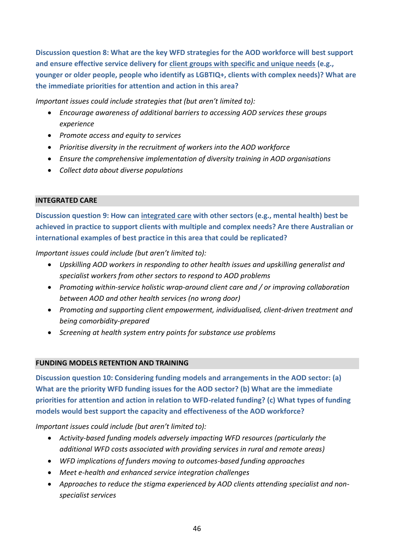**Discussion question 8: What are the key WFD strategies for the AOD workforce will best support and ensure effective service delivery for client groups with specific and unique needs (e.g., younger or older people, people who identify as LGBTIQ+, clients with complex needs)? What are the immediate priorities for attention and action in this area?**

*Important issues could include strategies that (but aren't limited to):* 

- *Encourage awareness of additional barriers to accessing AOD services these groups experience*
- *Promote access and equity to services*
- *Prioritise diversity in the recruitment of workers into the AOD workforce*
- *Ensure the comprehensive implementation of diversity training in AOD organisations*
- *Collect data about diverse populations*

#### **INTEGRATED CARE**

**Discussion question 9: How can integrated care with other sectors (e.g., mental health) best be achieved in practice to support clients with multiple and complex needs? Are there Australian or international examples of best practice in this area that could be replicated?**

*Important issues could include (but aren't limited to):*

- *Upskilling AOD workers in responding to other health issues and upskilling generalist and specialist workers from other sectors to respond to AOD problems*
- *Promoting within-service holistic wrap-around client care and / or improving collaboration between AOD and other health services (no wrong door)*
- *Promoting and supporting client empowerment, individualised, client-driven treatment and being comorbidity-prepared*
- *Screening at health system entry points for substance use problems*

#### **FUNDING MODELS RETENTION AND TRAINING**

**Discussion question 10: Considering funding models and arrangements in the AOD sector: (a) What are the priority WFD funding issues for the AOD sector? (b) What are the immediate priorities for attention and action in relation to WFD-related funding? (c) What types of funding models would best support the capacity and effectiveness of the AOD workforce?**

- *Activity-based funding models adversely impacting WFD resources (particularly the additional WFD costs associated with providing services in rural and remote areas)*
- *WFD implications of funders moving to outcomes-based funding approaches*
- *Meet e-health and enhanced service integration challenges*
- *Approaches to reduce the stigma experienced by AOD clients attending specialist and nonspecialist services*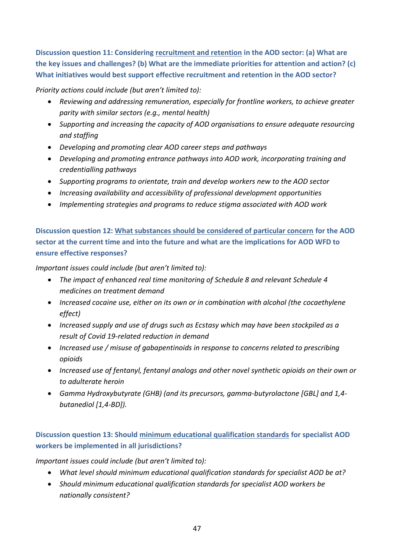**Discussion question 11: Considering recruitment and retention in the AOD sector: (a) What are the key issues and challenges? (b) What are the immediate priorities for attention and action? (c) What initiatives would best support effective recruitment and retention in the AOD sector?**

#### *Priority actions could include (but aren't limited to):*

- *Reviewing and addressing remuneration, especially for frontline workers, to achieve greater parity with similar sectors (e.g., mental health)*
- *Supporting and increasing the capacity of AOD organisations to ensure adequate resourcing and staffing*
- *Developing and promoting clear AOD career steps and pathways*
- *Developing and promoting entrance pathways into AOD work, incorporating training and credentialling pathways*
- *Supporting programs to orientate, train and develop workers new to the AOD sector*
- *Increasing availability and accessibility of professional development opportunities*
- *Implementing strategies and programs to reduce stigma associated with AOD work*

**Discussion question 12: What substances should be considered of particular concern for the AOD sector at the current time and into the future and what are the implications for AOD WFD to ensure effective responses?**

*Important issues could include (but aren't limited to):*

- *The impact of enhanced real time monitoring of Schedule 8 and relevant Schedule 4 medicines on treatment demand*
- *Increased cocaine use, either on its own or in combination with alcohol (the cocaethylene effect)*
- *Increased supply and use of drugs such as Ecstasy which may have been stockpiled as a result of Covid 19-related reduction in demand*
- *Increased use / misuse of gabapentinoids in response to concerns related to prescribing opioids*
- *Increased use of fentanyl, fentanyl analogs and other novel synthetic opioids on their own or to adulterate heroin*
- *Gamma Hydroxybutyrate (GHB) (and its precursors, gamma-butyrolactone [GBL] and 1,4 butanediol [1,4-BD]).*

### **Discussion question 13: Should minimum educational qualification standards for specialist AOD workers be implemented in all jurisdictions?**

- *What level should minimum educational qualification standards for specialist AOD be at?*
- *Should minimum educational qualification standards for specialist AOD workers be nationally consistent?*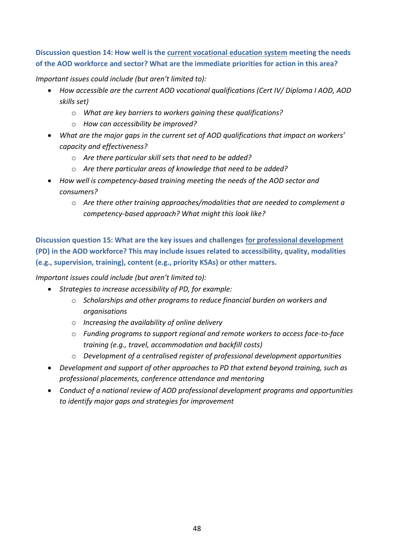**Discussion question 14: How well is the current vocational education system meeting the needs of the AOD workforce and sector? What are the immediate priorities for action in this area?**

*Important issues could include (but aren't limited to):*

- *How accessible are the current AOD vocational qualifications (Cert IV/ Diploma I AOD, AOD skills set)*
	- o *What are key barriers to workers gaining these qualifications?*
	- o *How can accessibility be improved?*
- *What are the major gaps in the current set of AOD qualifications that impact on workers' capacity and effectiveness?* 
	- o *Are there particular skill sets that need to be added?*
	- o *Are there particular areas of knowledge that need to be added?*
- *How well is competency-based training meeting the needs of the AOD sector and consumers?* 
	- o *Are there other training approaches/modalities that are needed to complement a competency-based approach? What might this look like?*

**Discussion question 15: What are the key issues and challenges for professional development (PD) in the AOD workforce? This may include issues related to accessibility, quality, modalities (e.g., supervision, training), content (e.g., priority KSAs) or other matters.** 

- *Strategies to increase accessibility of PD, for example:*
	- o *Scholarships and other programs to reduce financial burden on workers and organisations*
	- o *Increasing the availability of online delivery*
	- o *Funding programs to support regional and remote workers to access face-to-face training (e.g., travel, accommodation and backfill costs)*
	- o *Development of a centralised register of professional development opportunities*
- *Development and support of other approaches to PD that extend beyond training, such as professional placements, conference attendance and mentoring*
- *Conduct of a national review of AOD professional development programs and opportunities to identify major gaps and strategies for improvement*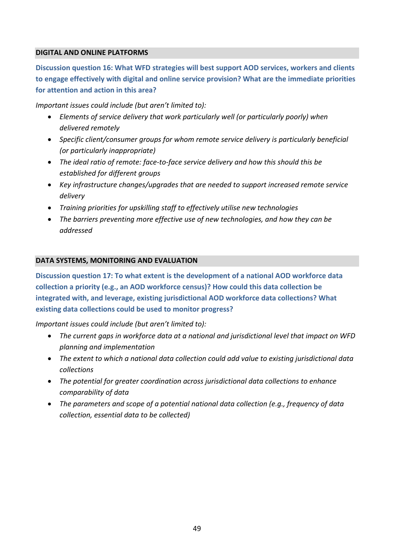#### **DIGITAL AND ONLINE PLATFORMS**

**Discussion question 16: What WFD strategies will best support AOD services, workers and clients to engage effectively with digital and online service provision? What are the immediate priorities for attention and action in this area?**

*Important issues could include (but aren't limited to):*

- *Elements of service delivery that work particularly well (or particularly poorly) when delivered remotely*
- *Specific client/consumer groups for whom remote service delivery is particularly beneficial (or particularly inappropriate)*
- *The ideal ratio of remote: face-to-face service delivery and how this should this be established for different groups*
- *Key infrastructure changes/upgrades that are needed to support increased remote service delivery*
- *Training priorities for upskilling staff to effectively utilise new technologies*
- *The barriers preventing more effective use of new technologies, and how they can be addressed*

#### **DATA SYSTEMS, MONITORING AND EVALUATION**

**Discussion question 17: To what extent is the development of a national AOD workforce data collection a priority (e.g., an AOD workforce census)? How could this data collection be integrated with, and leverage, existing jurisdictional AOD workforce data collections? What existing data collections could be used to monitor progress?**

- *The current gaps in workforce data at a national and jurisdictional level that impact on WFD planning and implementation*
- *The extent to which a national data collection could add value to existing jurisdictional data collections*
- *The potential for greater coordination across jurisdictional data collections to enhance comparability of data*
- *The parameters and scope of a potential national data collection (e.g., frequency of data collection, essential data to be collected)*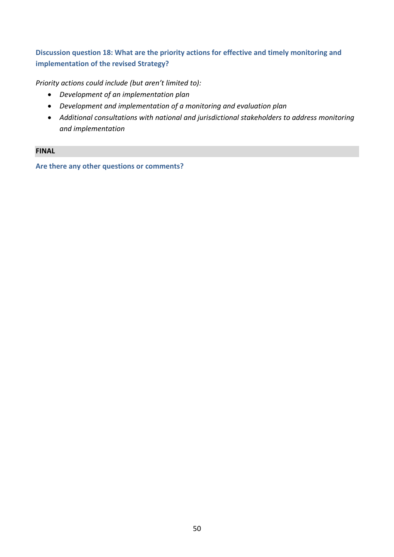### **Discussion question 18: What are the priority actions for effective and timely monitoring and implementation of the revised Strategy?**

*Priority actions could include (but aren't limited to):*

- *Development of an implementation plan*
- *Development and implementation of a monitoring and evaluation plan*
- *Additional consultations with national and jurisdictional stakeholders to address monitoring and implementation*

#### **FINAL**

**Are there any other questions or comments?**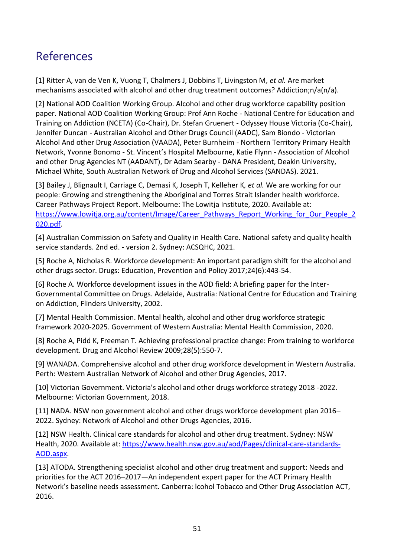## <span id="page-57-0"></span>References

<span id="page-57-1"></span>[1] Ritter A, van de Ven K, Vuong T, Chalmers J, Dobbins T, Livingston M*, et al.* Are market mechanisms associated with alcohol and other drug treatment outcomes? Addiction;n/a(n/a).

<span id="page-57-2"></span>[2] National AOD Coalition Working Group. Alcohol and other drug workforce capability position paper. National AOD Coalition Working Group: Prof Ann Roche - National Centre for Education and Training on Addiction (NCETA) (Co-Chair), Dr. Stefan Gruenert - Odyssey House Victoria (Co-Chair), Jennifer Duncan - Australian Alcohol and Other Drugs Council (AADC), Sam Biondo - Victorian Alcohol And other Drug Association (VAADA), Peter Burnheim - Northern Territory Primary Health Network, Yvonne Bonomo - St. Vincent's Hospital Melbourne, Katie Flynn - Association of Alcohol and other Drug Agencies NT (AADANT), Dr Adam Searby - DANA President, Deakin University, Michael White, South Australian Network of Drug and Alcohol Services (SANDAS). 2021.

<span id="page-57-3"></span>[3] Bailey J, Blignault I, Carriage C, Demasi K, Joseph T, Kelleher K*, et al.* We are working for our people: Growing and strengthening the Aboriginal and Torres Strait Islander health workforce. Career Pathways Project Report. Melbourne: The Lowitja Institute, 2020. Available at: [https://www.lowitja.org.au/content/Image/Career\\_Pathways\\_Report\\_Working\\_for\\_Our\\_People\\_2](https://www.lowitja.org.au/content/Image/Career_Pathways_Report_Working_for_Our_People_2020.pdf) [020.pdf.](https://www.lowitja.org.au/content/Image/Career_Pathways_Report_Working_for_Our_People_2020.pdf)

<span id="page-57-4"></span>[4] Australian Commission on Safety and Quality in Health Care. National safety and quality health service standards. 2nd ed. - version 2. Sydney: ACSQHC, 2021.

<span id="page-57-5"></span>[5] Roche A, Nicholas R. Workforce development: An important paradigm shift for the alcohol and other drugs sector. Drugs: Education, Prevention and Policy 2017;24(6):443-54.

<span id="page-57-6"></span>[6] Roche A. Workforce development issues in the AOD field: A briefing paper for the Inter-Governmental Committee on Drugs. Adelaide, Australia: National Centre for Education and Training on Addiction, Flinders University, 2002.

<span id="page-57-7"></span>[7] Mental Health Commission. Mental health, alcohol and other drug workforce strategic framework 2020-2025. Government of Western Australia: Mental Health Commission, 2020.

[8] Roche A, Pidd K, Freeman T. Achieving professional practice change: From training to workforce development. Drug and Alcohol Review 2009;28(5):550-7.

<span id="page-57-11"></span>[9] WANADA. Comprehensive alcohol and other drug workforce development in Western Australia. Perth: Western Australian Network of Alcohol and other Drug Agencies, 2017.

<span id="page-57-10"></span>[10] Victorian Government. Victoria's alcohol and other drugs workforce strategy 2018 -2022. Melbourne: Victorian Government, 2018.

<span id="page-57-8"></span>[11] NADA. NSW non government alcohol and other drugs workforce development plan 2016– 2022. Sydney: Network of Alcohol and other Drugs Agencies, 2016.

<span id="page-57-9"></span>[12] NSW Health. Clinical care standards for alcohol and other drug treatment. Sydney: NSW Health, 2020. Available at: [https://www.health.nsw.gov.au/aod/Pages/clinical-care-standards-](https://www.health.nsw.gov.au/aod/Pages/clinical-care-standards-AOD.aspx)[AOD.aspx.](https://www.health.nsw.gov.au/aod/Pages/clinical-care-standards-AOD.aspx)

<span id="page-57-12"></span>[13] ATODA. Strengthening specialist alcohol and other drug treatment and support: Needs and priorities for the ACT 2016–2017—An independent expert paper for the ACT Primary Health Network's baseline needs assessment. Canberra: lcohol Tobacco and Other Drug Association ACT, 2016.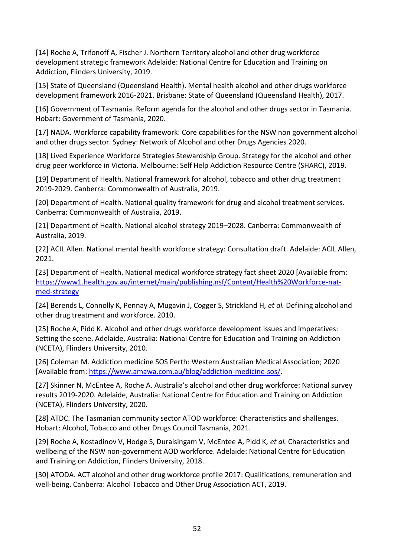<span id="page-58-0"></span>[14] Roche A, Trifonoff A, Fischer J. Northern Territory alcohol and other drug workforce development strategic framework Adelaide: National Centre for Education and Training on Addiction, Flinders University, 2019.

<span id="page-58-1"></span>[15] State of Queensland (Queensland Health). Mental health alcohol and other drugs workforce development framework 2016-2021. Brisbane: State of Queensland (Queensland Health), 2017.

<span id="page-58-2"></span>[16] Government of Tasmania. Reform agenda for the alcohol and other drugs sector in Tasmania. Hobart: Government of Tasmania, 2020.

<span id="page-58-3"></span>[17] NADA. Workforce capability framework: Core capabilities for the NSW non government alcohol and other drugs sector. Sydney: Network of Alcohol and other Drugs Agencies 2020.

<span id="page-58-4"></span>[18] Lived Experience Workforce Strategies Stewardship Group. Strategy for the alcohol and other drug peer workforce in Victoria. Melbourne: Self Help Addiction Resource Centre (SHARC), 2019.

<span id="page-58-5"></span>[19] Department of Health. National framework for alcohol, tobacco and other drug treatment 2019-2029. Canberra: Commonwealth of Australia, 2019.

<span id="page-58-6"></span>[20] Department of Health. National quality framework for drug and alcohol treatment services. Canberra: Commonwealth of Australia, 2019.

<span id="page-58-7"></span>[21] Department of Health. National alcohol strategy 2019–2028. Canberra: Commonwealth of Australia, 2019.

<span id="page-58-8"></span>[22] ACIL Allen. National mental health workforce strategy: Consultation draft. Adelaide: ACIL Allen, 2021.

<span id="page-58-9"></span>[23] Department of Health. National medical workforce strategy fact sheet 2020 [Available from: [https://www1.health.gov.au/internet/main/publishing.nsf/Content/Health%20Workforce-nat](https://www1.health.gov.au/internet/main/publishing.nsf/Content/Health%20Workforce-nat-med-strategy)[med-strategy](https://www1.health.gov.au/internet/main/publishing.nsf/Content/Health%20Workforce-nat-med-strategy)

<span id="page-58-10"></span>[24] Berends L, Connolly K, Pennay A, Mugavin J, Cogger S, Strickland H*, et al.* Defining alcohol and other drug treatment and workforce. 2010.

<span id="page-58-11"></span>[25] Roche A, Pidd K. Alcohol and other drugs workforce development issues and imperatives: Setting the scene. Adelaide, Australia: National Centre for Education and Training on Addiction (NCETA), Flinders University, 2010.

<span id="page-58-12"></span>[26] Coleman M. Addiction medicine SOS Perth: Western Australian Medical Association; 2020 [Available from: [https://www.amawa.com.au/blog/addiction-medicine-sos/.](https://www.amawa.com.au/blog/addiction-medicine-sos/)

<span id="page-58-13"></span>[27] Skinner N, McEntee A, Roche A. Australia's alcohol and other drug workforce: National survey results 2019-2020. Adelaide, Australia: National Centre for Education and Training on Addiction (NCETA), Flinders University, 2020.

<span id="page-58-14"></span>[28] ATDC. The Tasmanian community sector ATOD workforce: Characteristics and shallenges. Hobart: Alcohol, Tobacco and other Drugs Council Tasmania, 2021.

<span id="page-58-15"></span>[29] Roche A, Kostadinov V, Hodge S, Duraisingam V, McEntee A, Pidd K*, et al.* Characteristics and wellbeing of the NSW non-government AOD workforce. Adelaide: National Centre for Education and Training on Addiction, Flinders University, 2018.

<span id="page-58-16"></span>[30] ATODA. ACT alcohol and other drug workforce profile 2017: Qualifications, remuneration and well-being. Canberra: Alcohol Tobacco and Other Drug Association ACT, 2019.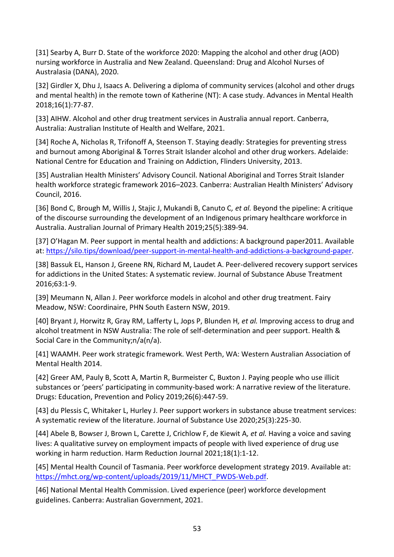<span id="page-59-0"></span>[31] Searby A, Burr D. State of the workforce 2020: Mapping the alcohol and other drug (AOD) nursing workforce in Australia and New Zealand. Queensland: Drug and Alcohol Nurses of Australasia (DANA), 2020.

<span id="page-59-1"></span>[32] Girdler X, Dhu J, Isaacs A. Delivering a diploma of community services (alcohol and other drugs and mental health) in the remote town of Katherine (NT): A case study. Advances in Mental Health 2018;16(1):77-87.

<span id="page-59-2"></span>[33] AIHW. Alcohol and other drug treatment services in Australia annual report. Canberra, Australia: Australian Institute of Health and Welfare, 2021.

<span id="page-59-3"></span>[34] Roche A, Nicholas R, Trifonoff A, Steenson T. Staying deadly: Strategies for preventing stress and burnout among Aboriginal & Torres Strait Islander alcohol and other drug workers. Adelaide: National Centre for Education and Training on Addiction, Flinders University, 2013.

<span id="page-59-4"></span>[35] Australian Health Ministers' Advisory Council. National Aboriginal and Torres Strait Islander health workforce strategic framework 2016–2023. Canberra: Australian Health Ministers' Advisory Council, 2016.

<span id="page-59-5"></span>[36] Bond C, Brough M, Willis J, Stajic J, Mukandi B, Canuto C*, et al.* Beyond the pipeline: A critique of the discourse surrounding the development of an Indigenous primary healthcare workforce in Australia. Australian Journal of Primary Health 2019;25(5):389-94.

<span id="page-59-6"></span>[37] O'Hagan M. Peer support in mental health and addictions: A background paper2011. Available at[: https://silo.tips/download/peer-support-in-mental-health-and-addictions-a-background-paper.](https://silo.tips/download/peer-support-in-mental-health-and-addictions-a-background-paper)

<span id="page-59-7"></span>[38] Bassuk EL, Hanson J, Greene RN, Richard M, Laudet A. Peer-delivered recovery support services for addictions in the United States: A systematic review. Journal of Substance Abuse Treatment 2016;63:1-9.

[39] Meumann N, Allan J. Peer workforce models in alcohol and other drug treatment. Fairy Meadow, NSW: Coordinaire, PHN South Eastern NSW, 2019.

<span id="page-59-14"></span>[40] Bryant J, Horwitz R, Gray RM, Lafferty L, Jops P, Blunden H*, et al.* Improving access to drug and alcohol treatment in NSW Australia: The role of self-determination and peer support. Health & Social Care in the Community;n/a(n/a).

<span id="page-59-8"></span>[41] WAAMH. Peer work strategic framework. West Perth, WA: Western Australian Association of Mental Health 2014.

<span id="page-59-9"></span>[42] Greer AM, Pauly B, Scott A, Martin R, Burmeister C, Buxton J. Paying people who use illicit substances or 'peers' participating in community-based work: A narrative review of the literature. Drugs: Education, Prevention and Policy 2019;26(6):447-59.

<span id="page-59-10"></span>[43] du Plessis C, Whitaker L, Hurley J. Peer support workers in substance abuse treatment services: A systematic review of the literature. Journal of Substance Use 2020;25(3):225-30.

<span id="page-59-11"></span>[44] Abele B, Bowser J, Brown L, Carette J, Crichlow F, de Kiewit A*, et al.* Having a voice and saving lives: A qualitative survey on employment impacts of people with lived experience of drug use working in harm reduction. Harm Reduction Journal 2021;18(1):1-12.

<span id="page-59-12"></span>[45] Mental Health Council of Tasmania. Peer workforce development strategy 2019. Available at: [https://mhct.org/wp-content/uploads/2019/11/MHCT\\_PWDS-Web.pdf.](https://mhct.org/wp-content/uploads/2019/11/MHCT_PWDS-Web.pdf)

<span id="page-59-13"></span>[46] National Mental Health Commission. Lived experience (peer) workforce development guidelines. Canberra: Australian Government, 2021.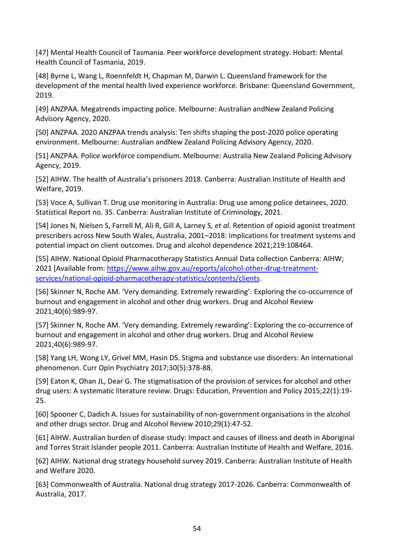[47] Mental Health Council of Tasmania. Peer workforce development strategy. Hobart: Mental Health Council of Tasmania, 2019.

[48] Byrne L, Wang L, Roennfeldt H, Chapman M, Darwin L. Queensland framework for the development of the mental health lived experience workforce. Brisbane: Queensland Government, 2019.

<span id="page-60-0"></span>[49] ANZPAA. Megatrends impacting police. Melbourne: Australian andNew Zealand Policing Advisory Agency, 2020.

<span id="page-60-1"></span>[50] ANZPAA. 2020 ANZPAA trends analysis: Ten shifts shaping the post-2020 police operating environment. Melbourne: Australian andNew Zealand Policing Advisory Agency, 2020.

<span id="page-60-2"></span>[51] ANZPAA. Police workforce compendium. Melbourne: Australia New Zealand Policing Advisory Agency, 2019.

<span id="page-60-3"></span>[52] AIHW. The health of Australia's prisoners 2018. Canberra: Australian Institute of Health and Welfare, 2019.

<span id="page-60-4"></span>[53] Voce A, Sullivan T. Drug use monitoring in Australia: Drug use among police detainees, 2020. Statistical Report no. 35. Canberra: Australian Institute of Criminology, 2021.

<span id="page-60-5"></span>[54] Jones N, Nielsen S, Farrell M, Ali R, Gill A, Larney S*, et al.* Retention of opioid agonist treatment prescribers across New South Wales, Australia, 2001–2018: Implications for treatment systems and potential impact on client outcomes. Drug and alcohol dependence 2021;219:108464.

<span id="page-60-6"></span>[55] AIHW. National Opioid Pharmacotherapy Statistics Annual Data collection Canberra: AIHW; 2021 [Available from: [https://www.aihw.gov.au/reports/alcohol-other-drug-treatment](https://www.aihw.gov.au/reports/alcohol-other-drug-treatment-services/national-opioid-pharmacotherapy-statistics/contents/clients)[services/national-opioid-pharmacotherapy-statistics/contents/clients.](https://www.aihw.gov.au/reports/alcohol-other-drug-treatment-services/national-opioid-pharmacotherapy-statistics/contents/clients)

<span id="page-60-7"></span>[56] Skinner N, Roche AM. 'Very demanding. Extremely rewarding': Exploring the co‐occurrence of burnout and engagement in alcohol and other drug workers. Drug and Alcohol Review 2021;40(6):989-97.

<span id="page-60-8"></span>[57] Skinner N, Roche AM. 'Very demanding. Extremely rewarding': Exploring the co-occurrence of burnout and engagement in alcohol and other drug workers. Drug and Alcohol Review 2021;40(6):989-97.

<span id="page-60-9"></span>[58] Yang LH, Wong LY, Grivel MM, Hasin DS. Stigma and substance use disorders: An international phenomenon. Curr Opin Psychiatry 2017;30(5):378-88.

<span id="page-60-10"></span>[59] Eaton K, Ohan JL, Dear G. The stigmatisation of the provision of services for alcohol and other drug users: A systematic literature review. Drugs: Education, Prevention and Policy 2015;22(1):19- 25.

<span id="page-60-11"></span>[60] Spooner C, Dadich A. Issues for sustainability of non-government organisations in the alcohol and other drugs sector. Drug and Alcohol Review 2010;29(1):47-52.

<span id="page-60-12"></span>[61] AIHW. Australian burden of disease study: Impact and causes of illness and death in Aboriginal and Torres Strait Islander people 2011. Canberra: Australian Institute of Health and Welfare, 2016.

<span id="page-60-13"></span>[62] AIHW. National drug strategy household survey 2019. Canberra: Australian Institute of Health and Welfare 2020.

<span id="page-60-14"></span>[63] Commonwealth of Australia. National drug strategy 2017-2026. Canberra: Commonwealth of Australia, 2017.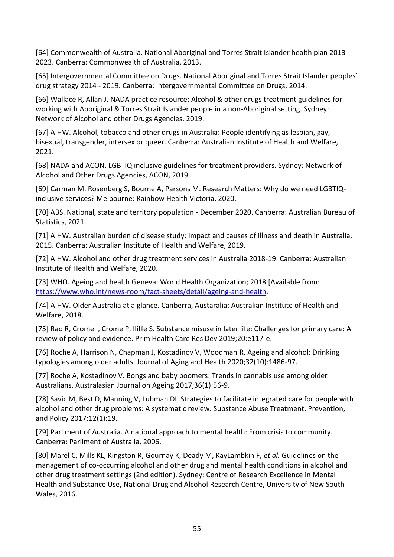<span id="page-61-0"></span>[64] Commonwealth of Australia. National Aboriginal and Torres Strait Islander health plan 2013- 2023. Canberra: Commonwealth of Australia, 2013.

<span id="page-61-1"></span>[65] Intergovernmental Committee on Drugs. National Aboriginal and Torres Strait Islander peoples' drug strategy 2014 - 2019. Canberra: Intergovernmental Committee on Drugs, 2014.

<span id="page-61-2"></span>[66] Wallace R, Allan J. NADA practice resource: Alcohol & other drugs treatment guidelines for working with Aboriginal & Torres Strait Islander people in a non-Aboriginal setting. Sydney: Network of Alcohol and other Drugs Agencies, 2019.

<span id="page-61-3"></span>[67] AIHW. Alcohol, tobacco and other drugs in Australia: People identifying as lesbian, gay, bisexual, transgender, intersex or queer. Canberra: Australian Institute of Health and Welfare, 2021.

<span id="page-61-4"></span>[68] NADA and ACON. LGBTIQ inclusive guidelines for treatment providers. Sydney: Network of Alcohol and Other Drugs Agencies, ACON, 2019.

<span id="page-61-5"></span>[69] Carman M, Rosenberg S, Bourne A, Parsons M. Research Matters: Why do we need LGBTIQinclusive services? Melbourne: Rainbow Health Victoria, 2020.

<span id="page-61-6"></span>[70] ABS. National, state and territory population - December 2020. Canberra: Australian Bureau of Statistics, 2021.

<span id="page-61-7"></span>[71] AIHW. Australian burden of disease study: Impact and causes of illness and death in Australia, 2015. Canberra: Australian Institute of Health and Welfare, 2019.

<span id="page-61-8"></span>[72] AIHW. Alcohol and other drug treatment services in Australia 2018-19. Canberra: Australian Institute of Health and Welfare, 2020.

<span id="page-61-9"></span>[73] WHO. Ageing and health Geneva: World Health Organization; 2018 [Available from: [https://www.who.int/news-room/fact-sheets/detail/ageing-and-health.](https://www.who.int/news-room/fact-sheets/detail/ageing-and-health)

<span id="page-61-10"></span>[74] AIHW. Older Australia at a glance. Canberra, Austaralia: Australian Institute of Health and Welfare, 2018.

<span id="page-61-11"></span>[75] Rao R, Crome I, Crome P, Iliffe S. Substance misuse in later life: Challenges for primary care: A review of policy and evidence. Prim Health Care Res Dev 2019;20:e117-e.

[76] Roche A, Harrison N, Chapman J, Kostadinov V, Woodman R. Ageing and alcohol: Drinking typologies among older adults. Journal of Aging and Health 2020;32(10):1486-97.

[77] Roche A, Kostadinov V. Bongs and baby boomers: Trends in cannabis use among older Australians. Australasian Journal on Ageing 2017;36(1):56-9.

<span id="page-61-12"></span>[78] Savic M, Best D, Manning V, Lubman DI. Strategies to facilitate integrated care for people with alcohol and other drug problems: A systematic review. Substance Abuse Treatment, Prevention, and Policy 2017;12(1):19.

<span id="page-61-13"></span>[79] Parliment of Australia. A national approach to mental health: From crisis to community. Canberra: Parliment of Australia, 2006.

<span id="page-61-14"></span>[80] Marel C, Mills KL, Kingston R, Gournay K, Deady M, KayLambkin F*, et al.* Guidelines on the management of co-occurring alcohol and other drug and mental health conditions in alcohol and other drug treatment settings (2nd edition). Sydney: Centre of Research Excellence in Mental Health and Substance Use, National Drug and Alcohol Research Centre, University of New South Wales, 2016.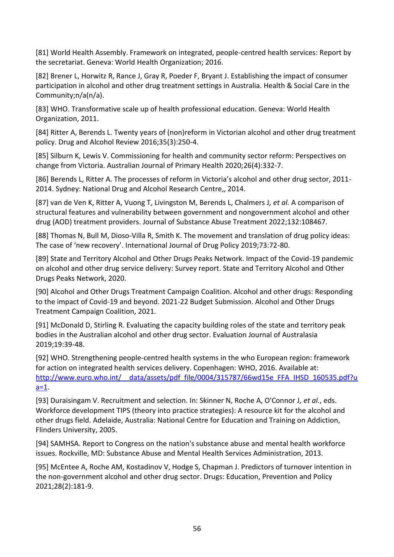<span id="page-62-0"></span>[81] World Health Assembly. Framework on integrated, people-centred health services: Report by the secretariat. Geneva: World Health Organization; 2016.

<span id="page-62-1"></span>[82] Brener L, Horwitz R, Rance J, Gray R, Poeder F, Bryant J. Establishing the impact of consumer participation in alcohol and other drug treatment settings in Australia. Health & Social Care in the Community;n/a(n/a).

<span id="page-62-2"></span>[83] WHO. Transformative scale up of health professional education. Geneva: World Health Organization, 2011.

<span id="page-62-3"></span>[84] Ritter A, Berends L. Twenty years of (non)reform in Victorian alcohol and other drug treatment policy. Drug and Alcohol Review 2016;35(3):250-4.

<span id="page-62-4"></span>[85] Silburn K, Lewis V. Commissioning for health and community sector reform: Perspectives on change from Victoria. Australian Journal of Primary Health 2020;26(4):332-7.

<span id="page-62-5"></span>[86] Berends L, Ritter A. The processes of reform in Victoria's alcohol and other drug sector, 2011-2014. Sydney: National Drug and Alcohol Research Centre,, 2014.

<span id="page-62-6"></span>[87] van de Ven K, Ritter A, Vuong T, Livingston M, Berends L, Chalmers J*, et al.* A comparison of structural features and vulnerability between government and nongovernment alcohol and other drug (AOD) treatment providers. Journal of Substance Abuse Treatment 2022;132:108467.

<span id="page-62-7"></span>[88] Thomas N, Bull M, Dioso-Villa R, Smith K. The movement and translation of drug policy ideas: The case of 'new recovery'. International Journal of Drug Policy 2019;73:72-80.

<span id="page-62-8"></span>[89] State and Territory Alcohol and Other Drugs Peaks Network. Impact of the Covid-19 pandemic on alcohol and other drug service delivery: Survey report. State and Territory Alcohol and Other Drugs Peaks Network, 2020.

<span id="page-62-9"></span>[90] Alcohol and Other Drugs Treatment Campaign Coalition. Alcohol and other drugs: Responding to the impact of Covid-19 and beyond. 2021-22 Budget Submission. Alcohol and Other Drugs Treatment Campaign Coalition, 2021.

<span id="page-62-10"></span>[91] McDonald D, Stirling R. Evaluating the capacity building roles of the state and territory peak bodies in the Australian alcohol and other drug sector. Evaluation Journal of Australasia 2019;19:39-48.

<span id="page-62-11"></span>[92] WHO. Strengthening people-centred health systems in the who European region: framework for action on integrated health services delivery. Copenhagen: WHO, 2016. Available at: http://www.euro.who.int/ data/assets/pdf file/0004/315787/66wd15e FFA\_IHSD\_160535.pdf?u [a=1.](http://www.euro.who.int/__data/assets/pdf_file/0004/315787/66wd15e_FFA_IHSD_160535.pdf?ua=1)

<span id="page-62-12"></span>[93] Duraisingam V. Recruitment and selection. In: Skinner N, Roche A, O'Connor J*, et al.*, eds. Workforce development TIPS (theory into practice strategies): A resource kit for the alcohol and other drugs field. Adelaide, Australia: National Centre for Education and Training on Addiction, Flinders University, 2005.

<span id="page-62-13"></span>[94] SAMHSA. Report to Congress on the nation's substance abuse and mental health workforce issues. Rockville, MD: Substance Abuse and Mental Health Services Administration, 2013.

<span id="page-62-14"></span>[95] McEntee A, Roche AM, Kostadinov V, Hodge S, Chapman J. Predictors of turnover intention in the non-government alcohol and other drug sector. Drugs: Education, Prevention and Policy 2021;28(2):181-9.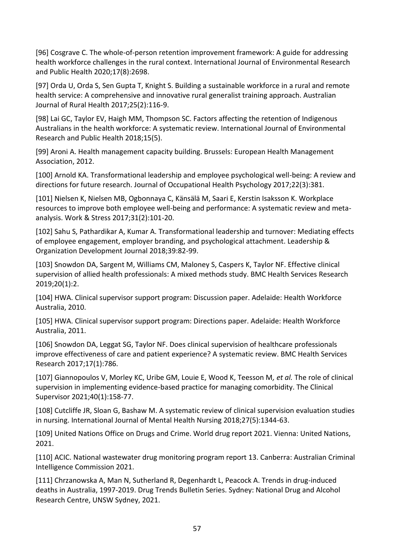<span id="page-63-0"></span>[96] Cosgrave C. The whole-of-person retention improvement framework: A guide for addressing health workforce challenges in the rural context. International Journal of Environmental Research and Public Health 2020;17(8):2698.

[97] Orda U, Orda S, Sen Gupta T, Knight S. Building a sustainable workforce in a rural and remote health service: A comprehensive and innovative rural generalist training approach. Australian Journal of Rural Health 2017;25(2):116-9.

[98] Lai GC, Taylor EV, Haigh MM, Thompson SC. Factors affecting the retention of Indigenous Australians in the health workforce: A systematic review. International Journal of Environmental Research and Public Health 2018;15(5).

<span id="page-63-1"></span>[99] Aroni A. Health management capacity building. Brussels: European Health Management Association, 2012.

<span id="page-63-2"></span>[100] Arnold KA. Transformational leadership and employee psychological well-being: A review and directions for future research. Journal of Occupational Health Psychology 2017;22(3):381.

[101] Nielsen K, Nielsen MB, Ogbonnaya C, Känsälä M, Saari E, Kerstin Isaksson K. Workplace resources to improve both employee well-being and performance: A systematic review and metaanalysis. Work & Stress 2017;31(2):101-20.

[102] Sahu S, Pathardikar A, Kumar A. Transformational leadership and turnover: Mediating effects of employee engagement, employer branding, and psychological attachment. Leadership & Organization Development Journal 2018;39:82-99.

<span id="page-63-3"></span>[103] Snowdon DA, Sargent M, Williams CM, Maloney S, Caspers K, Taylor NF. Effective clinical supervision of allied health professionals: A mixed methods study. BMC Health Services Research 2019;20(1):2.

<span id="page-63-4"></span>[104] HWA. Clinical supervisor support program: Discussion paper. Adelaide: Health Workforce Australia, 2010.

<span id="page-63-5"></span>[105] HWA. Clinical supervisor support program: Directions paper. Adelaide: Health Workforce Australia, 2011.

<span id="page-63-6"></span>[106] Snowdon DA, Leggat SG, Taylor NF. Does clinical supervision of healthcare professionals improve effectiveness of care and patient experience? A systematic review. BMC Health Services Research 2017;17(1):786.

[107] Giannopoulos V, Morley KC, Uribe GM, Louie E, Wood K, Teesson M*, et al.* The role of clinical supervision in implementing evidence-based practice for managing comorbidity. The Clinical Supervisor 2021;40(1):158-77.

[108] Cutcliffe JR, Sloan G, Bashaw M. A systematic review of clinical supervision evaluation studies in nursing. International Journal of Mental Health Nursing 2018;27(5):1344-63.

<span id="page-63-7"></span>[109] United Nations Office on Drugs and Crime. World drug report 2021. Vienna: United Nations, 2021.

<span id="page-63-8"></span>[110] ACIC. National wastewater drug monitoring program report 13. Canberra: Australian Criminal Intelligence Commission 2021.

<span id="page-63-9"></span>[111] Chrzanowska A, Man N, Sutherland R, Degenhardt L, Peacock A. Trends in drug-induced deaths in Australia, 1997-2019. Drug Trends Bulletin Series. Sydney: National Drug and Alcohol Research Centre, UNSW Sydney, 2021.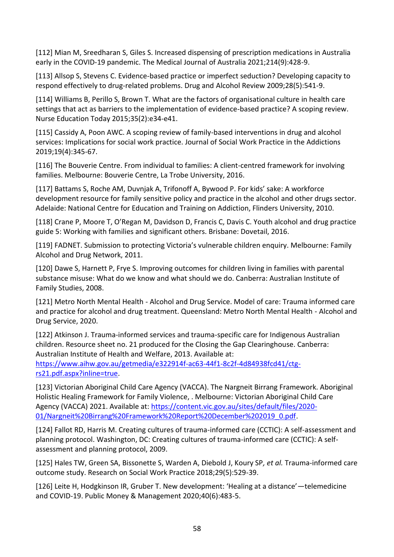<span id="page-64-0"></span>[112] Mian M, Sreedharan S, Giles S. Increased dispensing of prescription medications in Australia early in the COVID‐19 pandemic. The Medical Journal of Australia 2021;214(9):428-9.

<span id="page-64-1"></span>[113] Allsop S, Stevens C. Evidence-based practice or imperfect seduction? Developing capacity to respond effectively to drug-related problems. Drug and Alcohol Review 2009;28(5):541-9.

<span id="page-64-2"></span>[114] Williams B, Perillo S, Brown T. What are the factors of organisational culture in health care settings that act as barriers to the implementation of evidence-based practice? A scoping review. Nurse Education Today 2015;35(2):e34-e41.

<span id="page-64-3"></span>[115] Cassidy A, Poon AWC. A scoping review of family-based interventions in drug and alcohol services: Implications for social work practice. Journal of Social Work Practice in the Addictions 2019;19(4):345-67.

<span id="page-64-4"></span>[116] The Bouverie Centre. From individual to families: A client-centred framework for involving families. Melbourne: Bouverie Centre, La Trobe University, 2016.

<span id="page-64-5"></span>[117] Battams S, Roche AM, Duvnjak A, Trifonoff A, Bywood P. For kids' sake: A workforce development resource for family sensitive policy and practice in the alcohol and other drugs sector. Adelaide: National Centre for Education and Training on Addiction, Flinders University, 2010.

<span id="page-64-6"></span>[118] Crane P, Moore T, O'Regan M, Davidson D, Francis C, Davis C. Youth alcohol and drug practice guide 5: Working with families and significant others. Brisbane: Dovetail, 2016.

<span id="page-64-7"></span>[119] FADNET. Submission to protecting Victoria's vulnerable children enquiry. Melbourne: Family Alcohol and Drug Network, 2011.

<span id="page-64-8"></span>[120] Dawe S, Harnett P, Frye S. Improving outcomes for children living in families with parental substance misuse: What do we know and what should we do. Canberra: Australian Institute of Family Studies, 2008.

<span id="page-64-9"></span>[121] Metro North Mental Health - Alcohol and Drug Service. Model of care: Trauma informed care and practice for alcohol and drug treatment. Queensland: Metro North Mental Health - Alcohol and Drug Service, 2020.

<span id="page-64-10"></span>[122] Atkinson J. Trauma-informed services and trauma-specific care for Indigenous Australian children. Resource sheet no. 21 produced for the Closing the Gap Clearinghouse. Canberra: Australian Institute of Health and Welfare, 2013. Available at:

[https://www.aihw.gov.au/getmedia/e322914f-ac63-44f1-8c2f-4d84938fcd41/ctg](https://www.aihw.gov.au/getmedia/e322914f-ac63-44f1-8c2f-4d84938fcd41/ctg-rs21.pdf.aspx?inline=true)[rs21.pdf.aspx?inline=true.](https://www.aihw.gov.au/getmedia/e322914f-ac63-44f1-8c2f-4d84938fcd41/ctg-rs21.pdf.aspx?inline=true)

<span id="page-64-11"></span>[123] Victorian Aboriginal Child Care Agency (VACCA). The Nargneit Birrang Framework. Aboriginal Holistic Healing Framework for Family Violence, . Melbourne: Victorian Aboriginal Child Care Agency (VACCA) 2021. Available at: [https://content.vic.gov.au/sites/default/files/2020-](https://content.vic.gov.au/sites/default/files/2020-01/Nargneit%20Birrang%20Framework%20Report%20December%202019_0.pdf) [01/Nargneit%20Birrang%20Framework%20Report%20December%202019\\_0.pdf.](https://content.vic.gov.au/sites/default/files/2020-01/Nargneit%20Birrang%20Framework%20Report%20December%202019_0.pdf)

<span id="page-64-12"></span>[124] Fallot RD, Harris M. Creating cultures of trauma-informed care (CCTIC): A self-assessment and planning protocol. Washington, DC: Creating cultures of trauma-informed care (CCTIC): A selfassessment and planning protocol, 2009.

<span id="page-64-13"></span>[125] Hales TW, Green SA, Bissonette S, Warden A, Diebold J, Koury SP*, et al.* Trauma-informed care outcome study. Research on Social Work Practice 2018;29(5):529-39.

<span id="page-64-14"></span>[126] Leite H, Hodgkinson IR, Gruber T. New development: 'Healing at a distance'—telemedicine and COVID-19. Public Money & Management 2020;40(6):483-5.